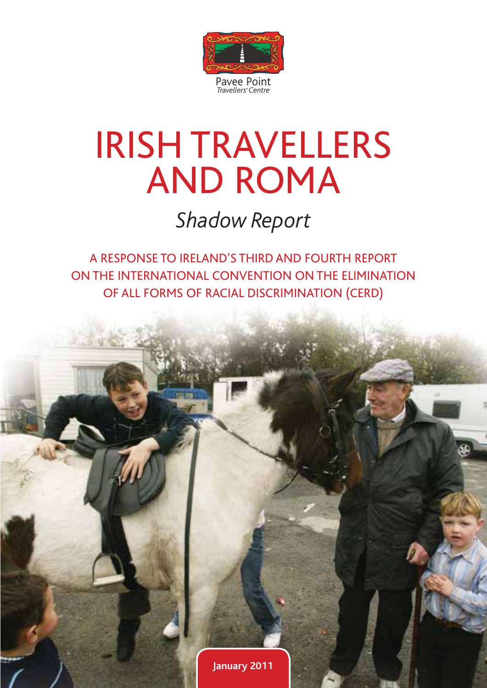

# IRISH TRAVELLERS AND ROMA

*Shadow Report* 

A RESPONSE TO IRELAND'S THIRD AND FOURTH REPORT ON THE INTERNATIONAL CONVENTION ON THE ELIMINATION OF ALL FORMS OF RACIAL DISCRIMINATION (CERD)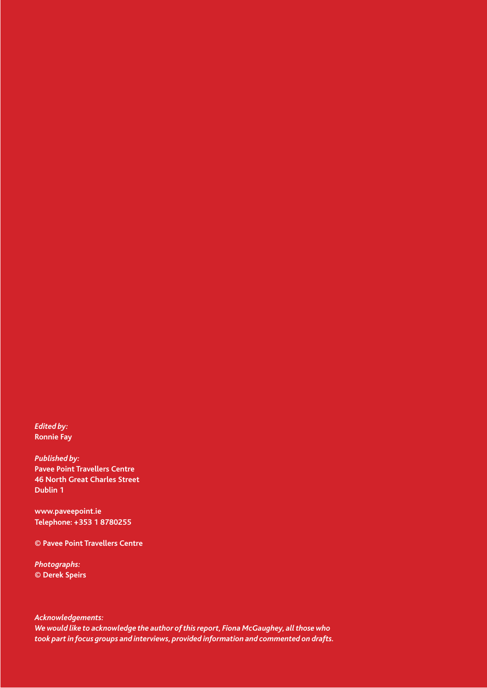*Edited by:*  **Ronnie Fay** 

*Published by:*  **Pavee Point Travellers Centre 46 North Great Charles Street Dublin 1**

**www.paveepoint.ie Telephone: +353 1 8780255**

**© Pavee Point Travellers Centre**

*Photographs:*  **© Derek Speirs**

*Acknowledgements: We would like to acknowledge the author of this report, Fiona McGaughey, all those who took part in focus groups and interviews, provided information and commented on drafts.*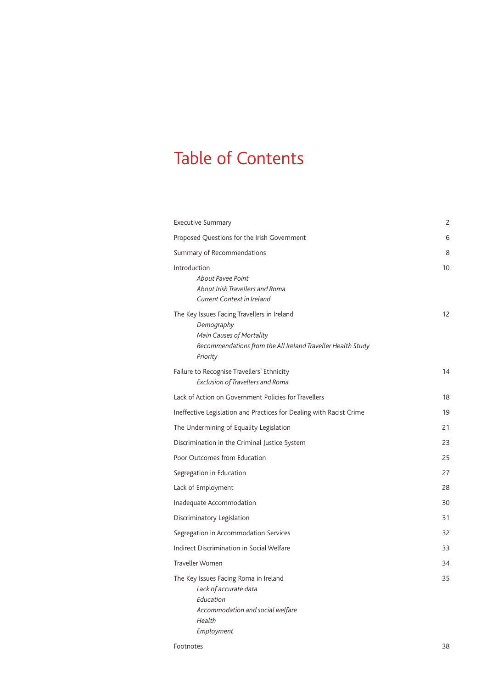# Table of Contents

| <b>Executive Summary</b>                                                                                                                                         | 2  |
|------------------------------------------------------------------------------------------------------------------------------------------------------------------|----|
| Proposed Questions for the Irish Government                                                                                                                      | 6  |
| Summary of Recommendations                                                                                                                                       | 8  |
| Introduction<br>About Pavee Point<br>About Irish Travellers and Roma<br>Current Context in Ireland                                                               | 10 |
| The Key Issues Facing Travellers in Ireland<br>Demography<br>Main Causes of Mortality<br>Recommendations from the All Ireland Traveller Health Study<br>Priority | 12 |
| Failure to Recognise Travellers' Ethnicity<br>Exclusion of Travellers and Roma                                                                                   | 14 |
| Lack of Action on Government Policies for Travellers                                                                                                             | 18 |
| Ineffective Legislation and Practices for Dealing with Racist Crime                                                                                              | 19 |
| The Undermining of Equality Legislation                                                                                                                          | 21 |
| Discrimination in the Criminal Justice System                                                                                                                    | 23 |
| Poor Outcomes from Education                                                                                                                                     | 25 |
| Segregation in Education                                                                                                                                         | 27 |
| Lack of Employment                                                                                                                                               | 28 |
| Inadequate Accommodation                                                                                                                                         | 30 |
| Discriminatory Legislation                                                                                                                                       | 31 |
| Segregation in Accommodation Services                                                                                                                            | 32 |
| Indirect Discrimination in Social Welfare                                                                                                                        | 33 |
| <b>Traveller Women</b>                                                                                                                                           | 34 |
| The Key Issues Facing Roma in Ireland<br>Lack of accurate data<br>Education<br>Accommodation and social welfare<br>Health<br>Employment                          | 35 |
|                                                                                                                                                                  |    |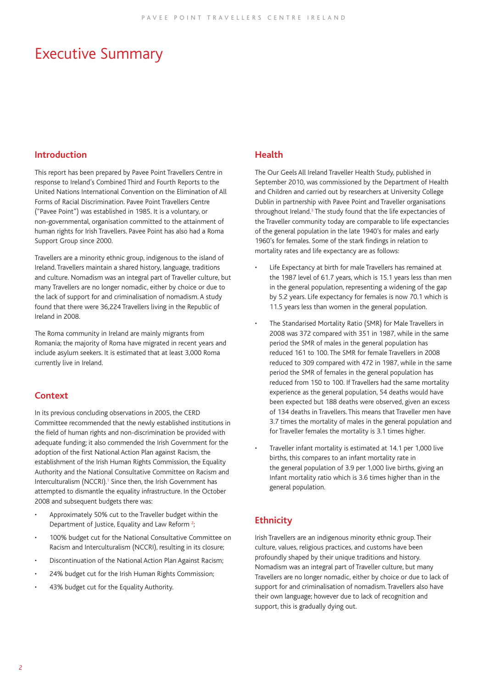### Executive Summary

### **Introduction**

This report has been prepared by Pavee Point Travellers Centre in response to Ireland's Combined Third and Fourth Reports to the United Nations International Convention on the Elimination of All Forms of Racial Discrimination. Pavee Point Travellers Centre ("Pavee Point") was established in 1985. It is a voluntary, or non-governmental, organisation committed to the attainment of human rights for Irish Travellers. Pavee Point has also had a Roma Support Group since 2000.

Travellers are a minority ethnic group, indigenous to the island of Ireland. Travellers maintain a shared history, language, traditions and culture. Nomadism was an integral part of Traveller culture, but many Travellers are no longer nomadic, either by choice or due to the lack of support for and criminalisation of nomadism. A study found that there were 36,224 Travellers living in the Republic of Ireland in 2008.

The Roma community in Ireland are mainly migrants from Romania; the majority of Roma have migrated in recent years and include asylum seekers. It is estimated that at least 3,000 Roma currently live in Ireland.

### **Context**

In its previous concluding observations in 2005, the CERD Committee recommended that the newly established institutions in the field of human rights and non-discrimination be provided with adequate funding; it also commended the Irish Government for the adoption of the first National Action Plan against Racism, the establishment of the Irish Human Rights Commission, the Equality Authority and the National Consultative Committee on Racism and Interculturalism (NCCRI).<sup>1</sup> Since then, the Irish Government has attempted to dismantle the equality infrastructure. In the October 2008 and subsequent budgets there was:

- Approximately 50% cut to the Traveller budget within the Department of Justice, Equality and Law Reform<sup>2</sup>; ;
- 100% budget cut for the National Consultative Committee on Racism and Interculturalism (NCCRI), resulting in its closure;
- Discontinuation of the National Action Plan Against Racism;
- 24% budget cut for the Irish Human Rights Commission;
- 43% budget cut for the Equality Authority.

### **Health**

The Our Geels All Ireland Traveller Health Study, published in September 2010, was commissioned by the Department of Health and Children and carried out by researchers at University College Dublin in partnership with Pavee Point and Traveller organisations throughout Ireland.<sup>3</sup> The study found that the life expectancies of the Traveller community today are comparable to life expectancies of the general population in the late 1940's for males and early 1960's for females. Some of the stark findings in relation to mortality rates and life expectancy are as follows:

- Life Expectancy at birth for male Travellers has remained at the 1987 level of 61.7 years, which is 15.1 years less than men in the general population, representing a widening of the gap by 5.2 years. Life expectancy for females is now 70.1 which is 11.5 years less than women in the general population.
- The Standarised Mortality Ratio (SMR) for Male Travellers in 2008 was 372 compared with 351 in 1987, while in the same period the SMR of males in the general population has reduced 161 to 100. The SMR for female Travellers in 2008 reduced to 309 compared with 472 in 1987, while in the same period the SMR of females in the general population has reduced from 150 to 100. If Travellers had the same mortality experience as the general population, 54 deaths would have been expected but 188 deaths were observed, given an excess of 134 deaths in Travellers. This means that Traveller men have 3.7 times the mortality of males in the general population and for Traveller females the mortality is 3.1 times higher.
- Traveller infant mortality is estimated at 14.1 per 1,000 live births, this compares to an infant mortality rate in the general population of 3.9 per 1,000 live births, giving an Infant mortality ratio which is 3.6 times higher than in the general population.

### **Ethnicity**

Irish Travellers are an indigenous minority ethnic group. Their culture, values, religious practices, and customs have been profoundly shaped by their unique traditions and history. Nomadism was an integral part of Traveller culture, but many Travellers are no longer nomadic, either by choice or due to lack of support for and criminalisation of nomadism. Travellers also have their own language; however due to lack of recognition and support, this is gradually dying out.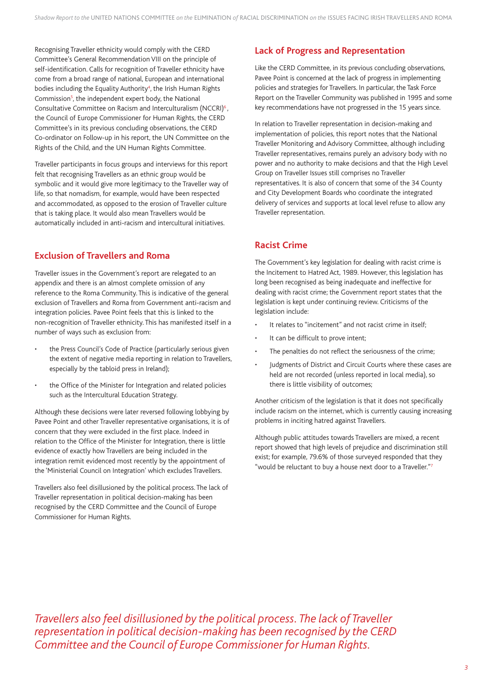Recognising Traveller ethnicity would comply with the CERD Committee's General Recommendation VIII on the principle of self-identification. Calls for recognition of Traveller ethnicity have come from a broad range of national, European and international bodies including the Equality Authority<sup>4</sup>, the Irish Human Rights Commission<sup>5</sup>, the independent expert body, the National Consultative Committee on Racism and Interculturalism (NCCRI)<sup>6</sup>, the Council of Europe Commissioner for Human Rights, the CERD Committee's in its previous concluding observations, the CERD Co-ordinator on Follow-up in his report, the UN Committee on the Rights of the Child, and the UN Human Rights Committee.

Traveller participants in focus groups and interviews for this report felt that recognising Travellers as an ethnic group would be symbolic and it would give more legitimacy to the Traveller way of life, so that nomadism, for example, would have been respected and accommodated, as opposed to the erosion of Traveller culture that is taking place. It would also mean Travellers would be automatically included in anti-racism and intercultural initiatives.

### **Exclusion of Travellers and Roma**

Traveller issues in the Government's report are relegated to an appendix and there is an almost complete omission of any reference to the Roma Community. This is indicative of the general exclusion of Travellers and Roma from Government anti-racism and integration policies. Pavee Point feels that this is linked to the non-recognition of Traveller ethnicity. This has manifested itself in a number of ways such as exclusion from:

- the Press Council's Code of Practice (particularly serious given the extent of negative media reporting in relation to Travellers, especially by the tabloid press in Ireland);
- the Office of the Minister for Integration and related policies such as the Intercultural Education Strategy.

Although these decisions were later reversed following lobbying by Pavee Point and other Traveller representative organisations, it is of concern that they were excluded in the first place. Indeed in relation to the Office of the Minister for Integration, there is little evidence of exactly how Travellers are being included in the integration remit evidenced most recently by the appointment of the 'Ministerial Council on Integration' which excludes Travellers.

Travellers also feel disillusioned by the political process. The lack of Traveller representation in political decision-making has been recognised by the CERD Committee and the Council of Europe Commissioner for Human Rights.

### **Lack of Progress and Representation**

Like the CERD Committee, in its previous concluding observations, Pavee Point is concerned at the lack of progress in implementing policies and strategies for Travellers. In particular, the Task Force Report on the Traveller Community was published in 1995 and some key recommendations have not progressed in the 15 years since.

In relation to Traveller representation in decision-making and implementation of policies, this report notes that the National Traveller Monitoring and Advisory Committee, although including Traveller representatives, remains purely an advisory body with no power and no authority to make decisions and that the High Level Group on Traveller Issues still comprises no Traveller representatives. It is also of concern that some of the 34 County and City Development Boards who coordinate the integrated delivery of services and supports at local level refuse to allow any Traveller representation.

### **Racist Crime**

The Government's key legislation for dealing with racist crime is the Incitement to Hatred Act, 1989. However, this legislation has long been recognised as being inadequate and ineffective for dealing with racist crime; the Government report states that the legislation is kept under continuing review. Criticisms of the legislation include:

- It relates to "incitement" and not racist crime in itself;
- It can be difficult to prove intent;
- The penalties do not reflect the seriousness of the crime;
- Judgments of District and Circuit Courts where these cases are held are not recorded (unless reported in local media), so there is little visibility of outcomes;

Another criticism of the legislation is that it does not specifically include racism on the internet, which is currently causing increasing problems in inciting hatred against Travellers.

Although public attitudes towards Travellers are mixed, a recent report showed that high levels of prejudice and discrimination still exist; for example, 79.6% of those surveyed responded that they "would be reluctant to buy a house next door to a Traveller."7

*Travellers also feel disillusioned by the political process. The lack of Traveller representation in political decision-making has been recognised by the CERD Committee and the Council of Europe Commissioner for Human Rights.*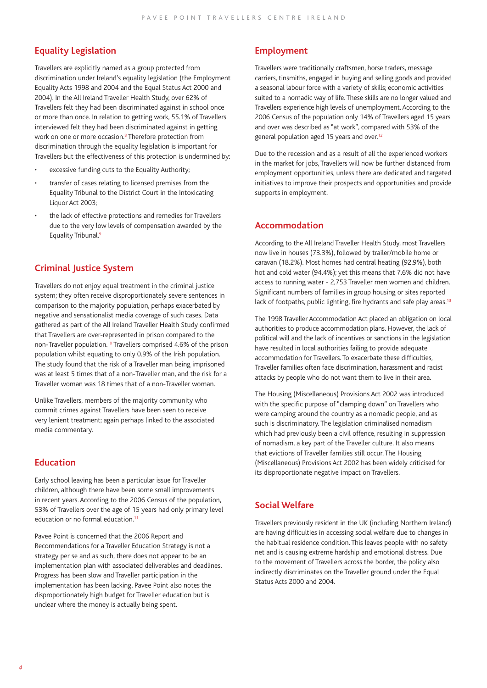### **Equality Legislation**

Travellers are explicitly named as a group protected from discrimination under Ireland's equality legislation (the Employment Equality Acts 1998 and 2004 and the Equal Status Act 2000 and 2004). In the All Ireland Traveller Health Study, over 62% of Travellers felt they had been discriminated against in school once or more than once. In relation to getting work, 55.1% of Travellers interviewed felt they had been discriminated against in getting work on one or more occasion.<sup>8</sup> Therefore protection from discrimination through the equality legislation is important for Travellers but the effectiveness of this protection is undermined by:

- excessive funding cuts to the Equality Authority;
- transfer of cases relating to licensed premises from the Equality Tribunal to the District Court in the Intoxicating Liquor Act 2003;
- the lack of effective protections and remedies for Travellers due to the very low levels of compensation awarded by the Equality Tribunal.9

### **Criminal Justice System**

Travellers do not enjoy equal treatment in the criminal justice system; they often receive disproportionately severe sentences in comparison to the majority population, perhaps exacerbated by negative and sensationalist media coverage of such cases. Data gathered as part of the All Ireland Traveller Health Study confirmed that Travellers are over-represented in prison compared to the non-Traveller population.10 Travellers comprised 4.6% of the prison population whilst equating to only 0.9% of the Irish population. The study found that the risk of a Traveller man being imprisoned was at least 5 times that of a non-Traveller man, and the risk for a Traveller woman was 18 times that of a non-Traveller woman.

Unlike Travellers, members of the majority community who commit crimes against Travellers have been seen to receive very lenient treatment; again perhaps linked to the associated media commentary.

### **Education**

Early school leaving has been a particular issue for Traveller children, although there have been some small improvements in recent years. According to the 2006 Census of the population, 53% of Travellers over the age of 15 years had only primary level education or no formal education.<sup>11</sup>

Pavee Point is concerned that the 2006 Report and Recommendations for a Traveller Education Strategy is not a strategy per se and as such, there does not appear to be an implementation plan with associated deliverables and deadlines. Progress has been slow and Traveller participation in the implementation has been lacking. Pavee Point also notes the disproportionately high budget for Traveller education but is unclear where the money is actually being spent.

### **Employment**

Travellers were traditionally craftsmen, horse traders, message carriers, tinsmiths, engaged in buying and selling goods and provided a seasonal labour force with a variety of skills; economic activities suited to a nomadic way of life. These skills are no longer valued and Travellers experience high levels of unemployment. According to the 2006 Census of the population only 14% of Travellers aged 15 years and over was described as "at work", compared with 53% of the general population aged 15 years and over.12

Due to the recession and as a result of all the experienced workers in the market for jobs, Travellers will now be further distanced from employment opportunities, unless there are dedicated and targeted initiatives to improve their prospects and opportunities and provide supports in employment.

### **Accommodation**

According to the All Ireland Traveller Health Study, most Travellers now live in houses (73.3%), followed by trailer/mobile home or caravan (18.2%). Most homes had central heating (92.9%), both hot and cold water (94.4%); yet this means that 7.6% did not have access to running water - 2,753 Traveller men women and children. Significant numbers of families in group housing or sites reported lack of footpaths, public lighting, fire hydrants and safe play areas.<sup>13</sup>

The 1998 Traveller Accommodation Act placed an obligation on local authorities to produce accommodation plans. However, the lack of political will and the lack of incentives or sanctions in the legislation have resulted in local authorities failing to provide adequate accommodation for Travellers. To exacerbate these difficulties, Traveller families often face discrimination, harassment and racist attacks by people who do not want them to live in their area.

The Housing (Miscellaneous) Provisions Act 2002 was introduced with the specific purpose of "clamping down" on Travellers who were camping around the country as a nomadic people, and as such is discriminatory. The legislation criminalised nomadism which had previously been a civil offence, resulting in suppression of nomadism, a key part of the Traveller culture. It also means that evictions of Traveller families still occur. The Housing (Miscellaneous) Provisions Act 2002 has been widely criticised for its disproportionate negative impact on Travellers.

### **Social Welfare**

Travellers previously resident in the UK (including Northern Ireland) are having difficulties in accessing social welfare due to changes in the habitual residence condition. This leaves people with no safety net and is causing extreme hardship and emotional distress. Due to the movement of Travellers across the border, the policy also indirectly discriminates on the Traveller ground under the Equal Status Acts 2000 and 2004.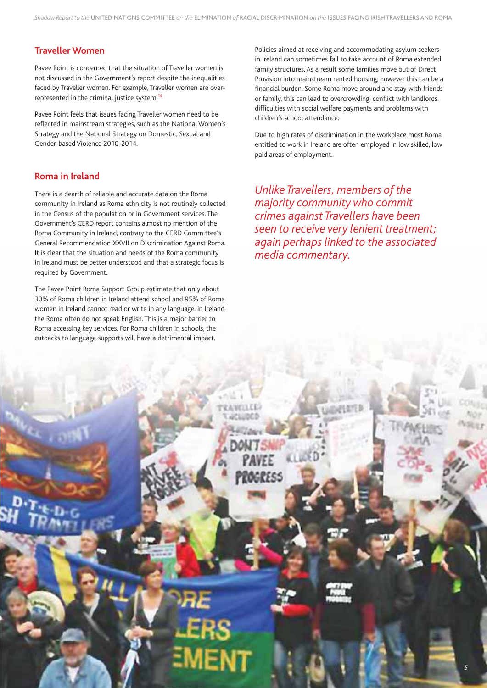### **Traveller Women**

Pavee Point is concerned that the situation of Traveller women is not discussed in the Government's report despite the inequalities faced by Traveller women. For example, Traveller women are overrepresented in the criminal justice system.14

Pavee Point feels that issues facing Traveller women need to be reflected in mainstream strategies, such as the National Women's Strategy and the National Strategy on Domestic, Sexual and Gender-based Violence 2010-2014.

### **Roma in Ireland**

There is a dearth of reliable and accurate data on the Roma community in Ireland as Roma ethnicity is not routinely collected in the Census of the population or in Government services. The Government's CERD report contains almost no mention of the Roma Community in Ireland, contrary to the CERD Committee's General Recommendation XXVII on Discrimination Against Roma. It is clear that the situation and needs of the Roma community in Ireland must be better understood and that a strategic focus is required by Government.

The Pavee Point Roma Support Group estimate that only about 30% of Roma children in Ireland attend school and 95% of Roma women in Ireland cannot read or write in any language. In Ireland, the Roma often do not speak English. This is a major barrier to Roma accessing key services. For Roma children in schools, the cutbacks to language supports will have a detrimental impact.

Policies aimed at receiving and accommodating asylum seekers in Ireland can sometimes fail to take account of Roma extended family structures. As a result some families move out of Direct Provision into mainstream rented housing; however this can be a financial burden. Some Roma move around and stay with friends or family, this can lead to overcrowding, conflict with landlords, difficulties with social welfare payments and problems with children's school attendance.

Due to high rates of discrimination in the workplace most Roma entitled to work in Ireland are often employed in low skilled, low paid areas of employment.

*Unlike Travellers, members of the majority community who commit crimes against Travellers have been seen to receive very lenient treatment; again perhaps linked to the associated media commentary.* 

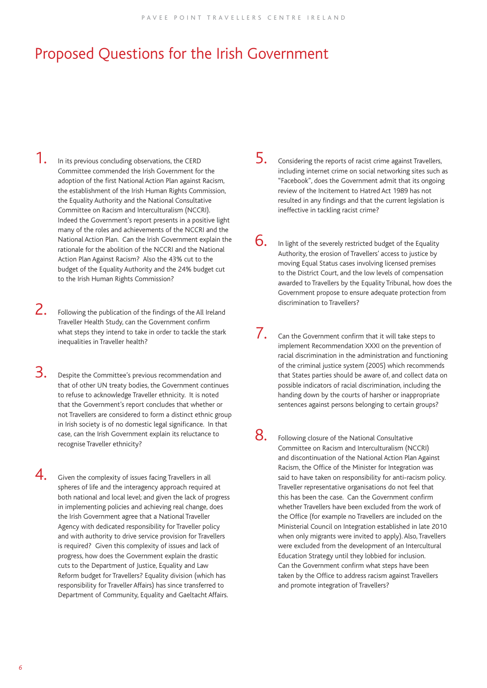# Proposed Questions for the Irish Government

- 1. In its previous concluding observations, the CERD Committee commended the Irish Government for the adoption of the first National Action Plan against Racism, the establishment of the Irish Human Rights Commission, the Equality Authority and the National Consultative Committee on Racism and Interculturalism (NCCRI). Indeed the Government's report presents in a positive light many of the roles and achievements of the NCCRI and the National Action Plan. Can the Irish Government explain the rationale for the abolition of the NCCRI and the National Action Plan Against Racism? Also the 43% cut to the budget of the Equality Authority and the 24% budget cut to the Irish Human Rights Commission?
- $\sum$ . Following the publication of the findings of the All Ireland Traveller Health Study, can the Government confirm what steps they intend to take in order to tackle the stark inequalities in Traveller health?
- $3.$  Despite the Committee's previous recommendation and that of other UN treaty bodies, the Government continues to refuse to acknowledge Traveller ethnicity. It is noted that the Government's report concludes that whether or not Travellers are considered to form a distinct ethnic group in Irish society is of no domestic legal significance. In that case, can the Irish Government explain its reluctance to recognise Traveller ethnicity?
- $\overline{4}$ . Given the complexity of issues facing Travellers in all spheres of life and the interagency approach required at both national and local level; and given the lack of progress in implementing policies and achieving real change, does the Irish Government agree that a National Traveller Agency with dedicated responsibility for Traveller policy and with authority to drive service provision for Travellers is required? Given this complexity of issues and lack of progress, how does the Government explain the drastic cuts to the Department of Justice, Equality and Law Reform budget for Travellers? Equality division (which has responsibility for Traveller Affairs) has since transferred to Department of Community, Equality and Gaeltacht Affairs.
- 5. Considering the reports of racist crime against Travellers, including internet crime on social networking sites such as "Facebook", does the Government admit that its ongoing review of the Incitement to Hatred Act 1989 has not resulted in any findings and that the current legislation is ineffective in tackling racist crime?
- $6.$  In light of the severely restricted budget of the Equality Authority, the erosion of Travellers' access to justice by moving Equal Status cases involving licensed premises to the District Court, and the low levels of compensation awarded to Travellers by the Equality Tribunal, how does the Government propose to ensure adequate protection from discrimination to Travellers?
- $\overline{7}$ . Can the Government confirm that it will take steps to implement Recommendation XXXI on the prevention of racial discrimination in the administration and functioning of the criminal justice system (2005) which recommends that States parties should be aware of, and collect data on possible indicators of racial discrimination, including the handing down by the courts of harsher or inappropriate sentences against persons belonging to certain groups?
- 8. Following closure of the National Consultative Committee on Racism and Interculturalism (NCCRI) and discontinuation of the National Action Plan Against Racism, the Office of the Minister for Integration was said to have taken on responsibility for anti-racism policy. Traveller representative organisations do not feel that this has been the case. Can the Government confirm whether Travellers have been excluded from the work of the Office (for example no Travellers are included on the Ministerial Council on Integration established in late 2010 when only migrants were invited to apply). Also, Travellers were excluded from the development of an Intercultural Education Strategy until they lobbied for inclusion. Can the Government confirm what steps have been taken by the Office to address racism against Travellers and promote integration of Travellers?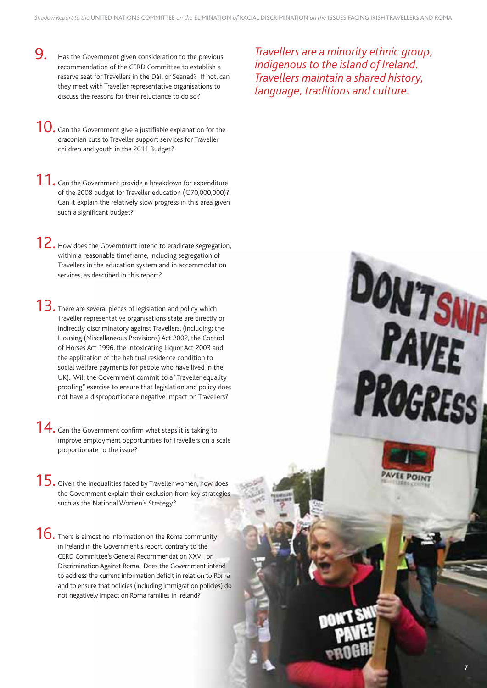- **9.** Has the Government given consideration to the previous recommendation of the CERD Committee to establish a reserve seat for Travellers in the Dáil or Seanad? If not, can they meet with Traveller representative organisations to discuss the reasons for their reluctance to do so?
- **10.** Can the Government give a justifiable explanation for the draconian cuts to Traveller support services for Traveller children and youth in the 2011 Budget?
- 11. Can the Government provide a breakdown for expenditure of the 2008 budget for Traveller education (€70,000,000)? Can it explain the relatively slow progress in this area given such a significant budget?
- 12. How does the Government intend to eradicate segregation, within a reasonable timeframe, including segregation of Travellers in the education system and in accommodation services, as described in this report? sonable timeframe, including segregation of<br>the education system and in accommodation<br>described in this report?<br>weral pieces of legislation and policy which<br>resentative organisations state are directly or
- $13.$  There are several pieces of legislation and policy which Traveller representative organisations state are directly or indirectly discriminatory against Travellers, (including: the Housing (Miscellaneous Provisions) Act 2002, the Control of Horses Act 1996, the Intoxicating Liquor Act 2003 and the application of the habitual residence condition to the application of the habitual residence condition to<br>social welfare payments for people who have lived in the UK). Will the Government commit to a "Traveller equality proofing" exercise to ensure that legislation and policy does not have a disproportionate negative impact on Travellers? scriminatory against Travellers, (including: the<br>iscellaneous Provisions) Act 2002, the Contro<br>ct 1996, the Intoxicating Liquor Act 2003 and
- $14.$  Can the Government confirm what steps it is taking to improve employment opportunities for Travellers on a scale proportionate to the issue? e Government commit to a "Traveller equality<br>vercise to ensure that legislation and policy doe<br>disproportionate negative impact on Travellers?<br>vernment confirm what steps it is taking to<br>ployment opportunities for Travelle
- $15.$  Given the inequalities faced by Traveller women, how does the Government explain their exclusion from key strategies such as the National Women's Strategy?
- $16.$  There is almost no information on the Roma community in Ireland in the Government's report, contrary to the CERD Committee's General Recommendation XXVII on Discrimination Against Roma. Does the Government intend to address the current information deficit in relation to Roma and to ensure that policies (including immigration policies) do and to ensure that policies (including immigration <sub>|</sub><br>not negatively impact on Roma families in Ireland?

*Travellers are a minority ethnic group, indigenous to the island of Ireland. Travellers maintain a shared history, language, traditions and culture.* 

# *7*

**DON'T SNIP**<br>**PAVEE**<br>PROGRESS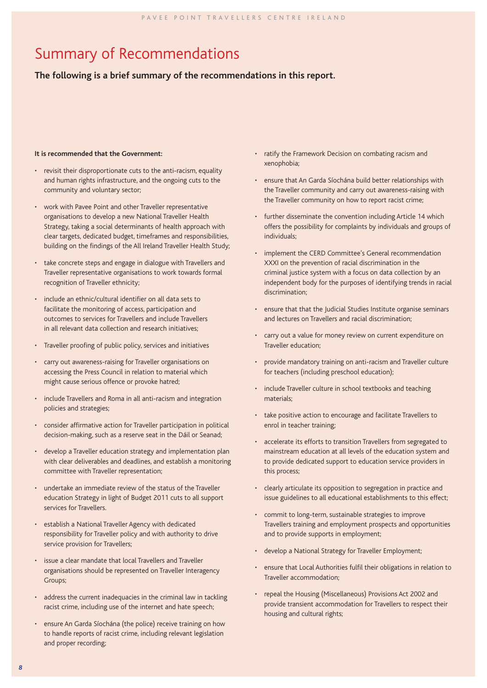# Summary of Recommendations

### **The following is a brief summary of the recommendations in this report.**

### **It is recommended that the Government:**

- revisit their disproportionate cuts to the anti-racism, equality and human rights infrastructure, and the ongoing cuts to the community and voluntary sector;
- work with Pavee Point and other Traveller representative organisations to develop a new National Traveller Health Strategy, taking a social determinants of health approach with clear targets, dedicated budget, timeframes and responsibilities, building on the findings of the All Ireland Traveller Health Study;
- take concrete steps and engage in dialogue with Travellers and Traveller representative organisations to work towards formal recognition of Traveller ethnicity;
- include an ethnic/cultural identifier on all data sets to facilitate the monitoring of access, participation and outcomes to services for Travellers and include Travellers in all relevant data collection and research initiatives;
- Traveller proofing of public policy, services and initiatives
- carry out awareness-raising for Traveller organisations on accessing the Press Council in relation to material which might cause serious offence or provoke hatred;
- include Travellers and Roma in all anti-racism and integration policies and strategies;
- consider affirmative action for Traveller participation in political decision-making, such as a reserve seat in the Dáil or Seanad;
- develop a Traveller education strategy and implementation plan with clear deliverables and deadlines, and establish a monitoring committee with Traveller representation;
- undertake an immediate review of the status of the Traveller education Strategy in light of Budget 2011 cuts to all support services for Travellers.
- establish a National Traveller Agency with dedicated responsibility for Traveller policy and with authority to drive service provision for Travellers;
- issue a clear mandate that local Travellers and Traveller organisations should be represented on Traveller Interagency Groups;
- address the current inadequacies in the criminal law in tackling racist crime, including use of the internet and hate speech;
- ensure An Garda Síochána (the police) receive training on how to handle reports of racist crime, including relevant legislation and proper recording;
- ratify the Framework Decision on combating racism and xenophobia;
- ensure that An Garda Síochána build better relationships with the Traveller community and carry out awareness-raising with the Traveller community on how to report racist crime;
- further disseminate the convention including Article 14 which offers the possibility for complaints by individuals and groups of individuals;
- implement the CERD Committee's General recommendation XXXI on the prevention of racial discrimination in the criminal justice system with a focus on data collection by an independent body for the purposes of identifying trends in racial discrimination;
- ensure that that the Judicial Studies Institute organise seminars and lectures on Travellers and racial discrimination;
- carry out a value for money review on current expenditure on Traveller education;
- provide mandatory training on anti-racism and Traveller culture for teachers (including preschool education);
- include Traveller culture in school textbooks and teaching materials;
- take positive action to encourage and facilitate Travellers to enrol in teacher training;
- accelerate its efforts to transition Travellers from segregated to mainstream education at all levels of the education system and to provide dedicated support to education service providers in this process;
- clearly articulate its opposition to segregation in practice and issue guidelines to all educational establishments to this effect;
- commit to long-term, sustainable strategies to improve Travellers training and employment prospects and opportunities and to provide supports in employment;
- develop a National Strategy for Traveller Employment;
- ensure that Local Authorities fulfil their obligations in relation to Traveller accommodation;
- repeal the Housing (Miscellaneous) Provisions Act 2002 and provide transient accommodation for Travellers to respect their housing and cultural rights;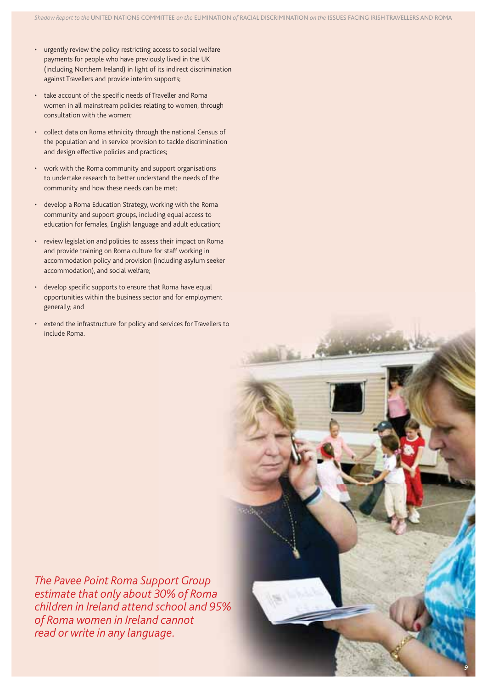- urgently review the policy restricting access to social welfare payments for people who have previously lived in the UK (including Northern Ireland) in light of its indirect discrimination against Travellers and provide interim supports;
- take account of the specific needs of Traveller and Roma women in all mainstream policies relating to women, through consultation with the women;
- collect data on Roma ethnicity through the national Census of the population and in service provision to tackle discrimination and design effective policies and practices;
- work with the Roma community and support organisations to undertake research to better understand the needs of the community and how these needs can be met;
- develop a Roma Education Strategy, working with the Roma community and support groups, including equal access to education for females, English language and adult education;
- review legislation and policies to assess their impact on Roma and provide training on Roma culture for staff working in accommodation policy and provision (including asylum seeker accommodation), and social welfare;
- develop specific supports to ensure that Roma have equal opportunities within the business sector and for employment generally; and
- extend the infrastructure for policy and services for Travellers to include Roma.

*The Pavee Point Roma Support Group estimate that only about 30% of Roma children in Ireland attend school and 95% of Roma women in Ireland cannot read or write in any language.* 

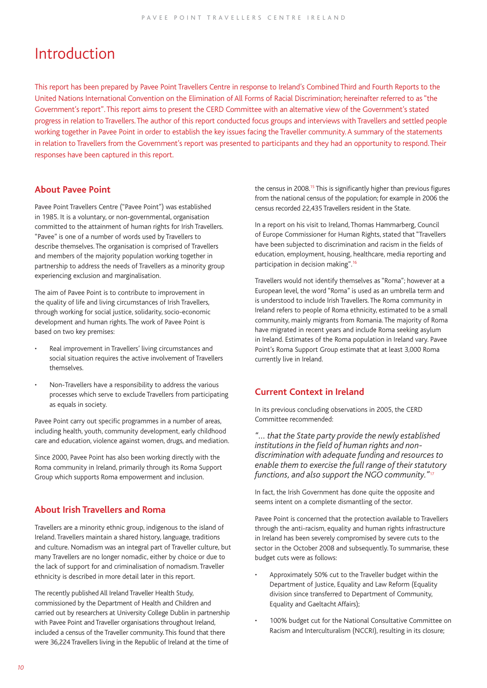### Introduction

This report has been prepared by Pavee Point Travellers Centre in response to Ireland's Combined Third and Fourth Reports to the United Nations International Convention on the Elimination of All Forms of Racial Discrimination; hereinafter referred to as "the Government's report". This report aims to present the CERD Committee with an alternative view of the Government's stated progress in relation to Travellers. The author of this report conducted focus groups and interviews with Travellers and settled people working together in Pavee Point in order to establish the key issues facing the Traveller community. A summary of the statements in relation to Travellers from the Government's report was presented to participants and they had an opportunity to respond. Their responses have been captured in this report.

### **About Pavee Point**

Pavee Point Travellers Centre ("Pavee Point") was established in 1985. It is a voluntary, or non-governmental, organisation committed to the attainment of human rights for Irish Travellers. "Pavee" is one of a number of words used by Travellers to describe themselves. The organisation is comprised of Travellers and members of the majority population working together in partnership to address the needs of Travellers as a minority group experiencing exclusion and marginalisation.

The aim of Pavee Point is to contribute to improvement in the quality of life and living circumstances of Irish Travellers, through working for social justice, solidarity, socio-economic development and human rights. The work of Pavee Point is based on two key premises:

- Real improvement in Travellers' living circumstances and social situation requires the active involvement of Travellers themselves.
- Non-Travellers have a responsibility to address the various processes which serve to exclude Travellers from participating as equals in society.

Pavee Point carry out specific programmes in a number of areas, including health, youth, community development, early childhood care and education, violence against women, drugs, and mediation.

Since 2000, Pavee Point has also been working directly with the Roma community in Ireland, primarily through its Roma Support Group which supports Roma empowerment and inclusion.

### **About Irish Travellers and Roma**

Travellers are a minority ethnic group, indigenous to the island of Ireland. Travellers maintain a shared history, language, traditions and culture. Nomadism was an integral part of Traveller culture, but many Travellers are no longer nomadic, either by choice or due to the lack of support for and criminalisation of nomadism. Traveller ethnicity is described in more detail later in this report.

The recently published All Ireland Traveller Health Study, commissioned by the Department of Health and Children and carried out by researchers at University College Dublin in partnership with Pavee Point and Traveller organisations throughout Ireland, included a census of the Traveller community. This found that there were 36,224 Travellers living in the Republic of Ireland at the time of

the census in 2008.<sup>15</sup> This is significantly higher than previous figures from the national census of the population; for example in 2006 the census recorded 22,435 Travellers resident in the State.

In a report on his visit to Ireland, Thomas Hammarberg, Council of Europe Commissioner for Human Rights, stated that "Travellers have been subjected to discrimination and racism in the fields of education, employment, housing, healthcare, media reporting and participation in decision making".16

Travellers would not identify themselves as "Roma"; however at a European level, the word "Roma" is used as an umbrella term and is understood to include Irish Travellers. The Roma community in Ireland refers to people of Roma ethnicity, estimated to be a small community, mainly migrants from Romania. The majority of Roma have migrated in recent years and include Roma seeking asylum in Ireland. Estimates of the Roma population in Ireland vary. Pavee Point's Roma Support Group estimate that at least 3,000 Roma currently live in Ireland.

### **Current Context in Ireland**

In its previous concluding observations in 2005, the CERD Committee recommended:

*"… that the State party provide the newly established*  institutions in the field of human rights and non*discrimination with adequate funding and resources to enable them to exercise the full range of their statutory functions, and also support the NGO community."*<sup>17</sup>

In fact, the Irish Government has done quite the opposite and seems intent on a complete dismantling of the sector.

Pavee Point is concerned that the protection available to Travellers through the anti-racism, equality and human rights infrastructure in Ireland has been severely compromised by severe cuts to the sector in the October 2008 and subsequently. To summarise, these budget cuts were as follows:

- Approximately 50% cut to the Traveller budget within the Department of Justice, Equality and Law Reform (Equality division since transferred to Department of Community, Equality and Gaeltacht Affairs);
- 100% budget cut for the National Consultative Committee on Racism and Interculturalism (NCCRI), resulting in its closure;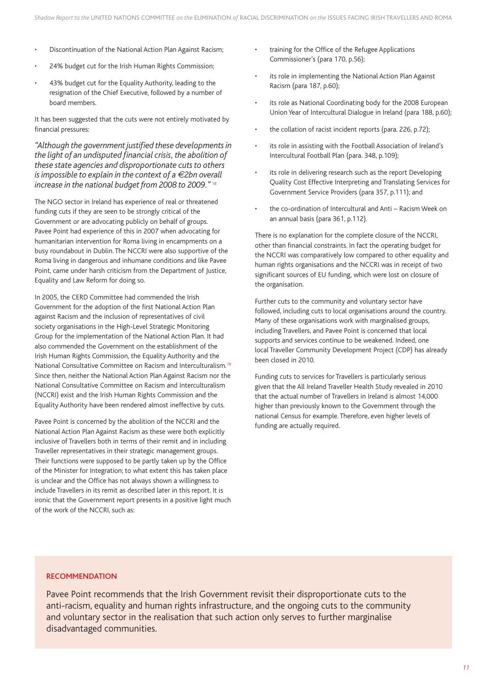- Discontinuation of the National Action Plan Against Racism;
- 24% budget cut for the Irish Human Rights Commission;
- 43% budget cut for the Equality Authority, leading to the resignation of the Chief Executive, followed by a number of board members.

It has been suggested that the cuts were not entirely motivated by financial pressures:

"Although the government justified these developments in the light of an undisputed financial crisis, the abolition of *these state agencies and disproportionate cuts to others is impossible to explain in the context of a €2bn overall increase in the national budget from 2008 to 2009."* <sup>18</sup>

The NGO sector in Ireland has experience of real or threatened funding cuts if they are seen to be strongly critical of the Government or are advocating publicly on behalf of groups. Pavee Point had experience of this in 2007 when advocating for humanitarian intervention for Roma living in encampments on a busy roundabout in Dublin. The NCCRI were also supportive of the Roma living in dangerous and inhumane conditions and like Pavee Point, came under harsh criticism from the Department of Justice, Equality and Law Reform for doing so.

In 2005, the CERD Committee had commended the Irish Government for the adoption of the first National Action Plan against Racism and the inclusion of representatives of civil society organisations in the High-Level Strategic Monitoring Group for the implementation of the National Action Plan. It had also commended the Government on the establishment of the Irish Human Rights Commission, the Equality Authority and the National Consultative Committee on Racism and Interculturalism.19 Since then, neither the National Action Plan Against Racism nor the National Consultative Committee on Racism and Interculturalism (NCCRI) exist and the Irish Human Rights Commission and the Equality Authority have been rendered almost ineffective by cuts.

Pavee Point is concerned by the abolition of the NCCRI and the National Action Plan Against Racism as these were both explicitly inclusive of Travellers both in terms of their remit and in including Traveller representatives in their strategic management groups. Their functions were supposed to be partly taken up by the Office of the Minister for Integration; to what extent this has taken place is unclear and the Office has not always shown a willingness to include Travellers in its remit as described later in this report. It is ironic that the Government report presents in a positive light much of the work of the NCCRI, such as:

- training for the Office of the Refugee Applications Commissioner's (para 170, p.56);
- its role in implementing the National Action Plan Against Racism (para 187, p.60);
- its role as National Coordinating body for the 2008 European Union Year of Intercultural Dialogue in Ireland (para 188, p.60);
- the collation of racist incident reports (para. 226, p.72);
- its role in assisting with the Football Association of Ireland's Intercultural Football Plan (para. 348, p.109);
- its role in delivering research such as the report Developing Quality Cost Effective Interpreting and Translating Services for Government Service Providers (para 357, p.111); and
- the co-ordination of Intercultural and Anti Racism Week on an annual basis (para 361, p.112).

There is no explanation for the complete closure of the NCCRI, other than financial constraints. In fact the operating budget for the NCCRI was comparatively low compared to other equality and human rights organisations and the NCCRI was in receipt of two significant sources of EU funding, which were lost on closure of the organisation.

Further cuts to the community and voluntary sector have followed, including cuts to local organisations around the country. Many of these organisations work with marginalised groups, including Travellers, and Pavee Point is concerned that local supports and services continue to be weakened. Indeed, one local Traveller Community Development Project (CDP) has already been closed in 2010.

Funding cuts to services for Travellers is particularly serious given that the All Ireland Traveller Health Study revealed in 2010 that the actual number of Travellers in Ireland is almost 14,000 higher than previously known to the Government through the national Census for example. Therefore, even higher levels of funding are actually required.

### **RECOMMENDATION**

Pavee Point recommends that the Irish Government revisit their disproportionate cuts to the anti-racism, equality and human rights infrastructure, and the ongoing cuts to the community and voluntary sector in the realisation that such action only serves to further marginalise disadvantaged communities.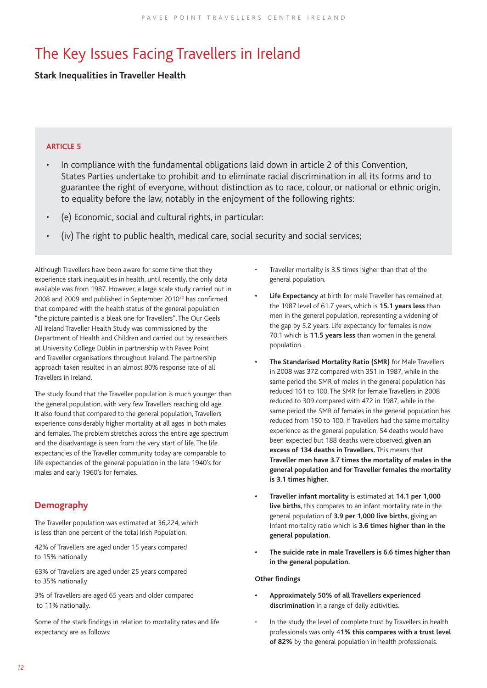# The Key Issues Facing Travellers in Ireland

### **Stark Inequalities in Traveller Health**

### **ARTICLE 5**

- In compliance with the fundamental obligations laid down in article 2 of this Convention, States Parties undertake to prohibit and to eliminate racial discrimination in all its forms and to guarantee the right of everyone, without distinction as to race, colour, or national or ethnic origin, to equality before the law, notably in the enjoyment of the following rights:
- (e) Economic, social and cultural rights, in particular:
- (iv) The right to public health, medical care, social security and social services;

Although Travellers have been aware for some time that they experience stark inequalities in health, until recently, the only data available was from 1987. However, a large scale study carried out in 2008 and 2009 and published in September 2010<sup>20</sup> has confirmed that compared with the health status of the general population "the picture painted is a bleak one for Travellers". The Our Geels All Ireland Traveller Health Study was commissioned by the Department of Health and Children and carried out by researchers at University College Dublin in partnership with Pavee Point and Traveller organisations throughout Ireland. The partnership approach taken resulted in an almost 80% response rate of all Travellers in Ireland.

The study found that the Traveller population is much younger than the general population, with very few Travellers reaching old age. It also found that compared to the general population, Travellers experience considerably higher mortality at all ages in both males and females. The problem stretches across the entire age spectrum and the disadvantage is seen from the very start of life. The life expectancies of the Traveller community today are comparable to life expectancies of the general population in the late 1940's for males and early 1960's for females.

### **Demography**

The Traveller population was estimated at 36,224, which is less than one percent of the total Irish Population.

42% of Travellers are aged under 15 years compared to 15% nationally

63% of Travellers are aged under 25 years compared to 35% nationally

3% of Travellers are aged 65 years and older compared to 11% nationally.

Some of the stark findings in relation to mortality rates and life expectancy are as follows:

- Traveller mortality is 3.5 times higher than that of the general population.
- **Life Expectancy** at birth for male Traveller has remained at the 1987 level of 61.7 years, which is **15.1 years less** than men in the general population, representing a widening of the gap by 5.2 years. Life expectancy for females is now 70.1 which is **11.5 years less** than women in the general population.
- **The Standarised Mortality Ratio (SMR)** for Male Travellers in 2008 was 372 compared with 351 in 1987, while in the same period the SMR of males in the general population has reduced 161 to 100. The SMR for female Travellers in 2008 reduced to 309 compared with 472 in 1987, while in the same period the SMR of females in the general population has reduced from 150 to 100. If Travellers had the same mortality experience as the general population, 54 deaths would have been expected but 188 deaths were observed, **given an excess of 134 deaths in Travellers.** This means that **Traveller men have 3.7 times the mortality of males in the general population and for Traveller females the mortality is 3.1 times higher.**
- **Traveller infant mortality** is estimated at **14.1 per 1,000 live births**, this compares to an infant mortality rate in the general population of **3.9 per 1,000 live births**, giving an Infant mortality ratio which is **3.6 times higher than in the general population.**
- **The suicide rate in male Travellers is 6.6 times higher than in the general population.**

### **Other findings**

- **Approximately 50% of all Travellers experienced discrimination** in a range of daily acitivities.
- In the study the level of complete trust by Travellers in health professionals was only 4**1% this compares with a trust level of 82%** by the general population in health professionals.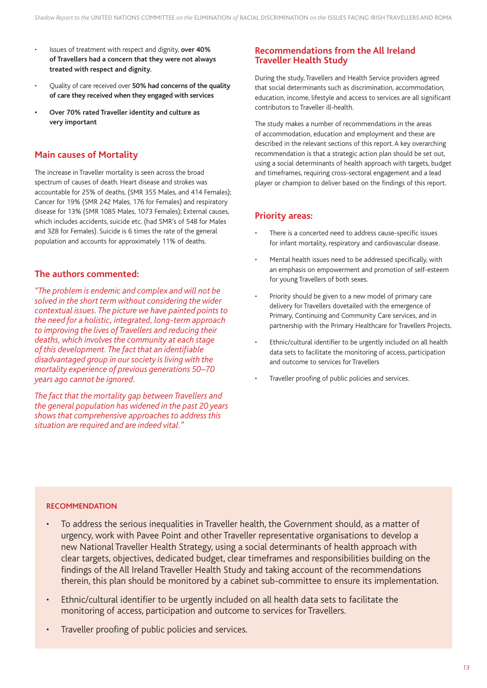- Issues of treatment with respect and dignity, **over 40% of Travellers had a concern that they were not always treated with respect and dignity.**
- Quality of care received over **50% had concerns of the quality of care they received when they engaged with services**
- **Over 70% rated Traveller identity and culture as very important**

### **Main causes of Mortality**

The increase in Traveller mortality is seen across the broad spectrum of causes of death. Heart disease and strokes was accountable for 25% of deaths, (SMR 355 Males, and 414 Females); Cancer for 19% (SMR 242 Males, 176 for Females) and respiratory disease for 13% (SMR 1085 Males, 1073 Females); External causes, which includes accidents, suicide etc. (had SMR's of 548 for Males and 328 for Females). Suicide is 6 times the rate of the general population and accounts for approximately 11% of deaths.

### **The authors commented:**

*"The problem is endemic and complex and will not be solved in the short term without considering the wider contextual issues. The picture we have painted points to the need for a holistic, integrated, long-term approach to improving the lives of Travellers and reducing their deaths, which involves the community at each stage*  of this development. The fact that an identifiable *disadvantaged group in our society is living with the mortality experience of previous generations 50–70 years ago cannot be ignored.* 

*The fact that the mortality gap between Travellers and the general population has widened in the past 20 years shows that comprehensive approaches to address this situation are required and are indeed vital."*

### **Recommendations from the All Ireland Traveller Health Study**

During the study, Travellers and Health Service providers agreed that social determinants such as discrimination, accommodation, education, income, lifestyle and access to services are all significant contributors to Traveller ill-health.

The study makes a number of recommendations in the areas of accommodation, education and employment and these are described in the relevant sections of this report. A key overarching recommendation is that a strategic action plan should be set out, using a social determinants of health approach with targets, budget and timeframes, requiring cross-sectoral engagement and a lead player or champion to deliver based on the findings of this report.

### **Priority areas:**

- There is a concerted need to address cause-specific issues for infant mortality, respiratory and cardiovascular disease.
- Mental health issues need to be addressed specifically, with an emphasis on empowerment and promotion of self-esteem for young Travellers of both sexes.
- Priority should be given to a new model of primary care delivery for Travellers dovetailed with the emergence of Primary, Continuing and Community Care services, and in partnership with the Primary Healthcare for Travellers Projects.
- Ethnic/cultural identifier to be urgently included on all health data sets to facilitate the monitoring of access, participation and outcome to services for Travellers
- Traveller proofing of public policies and services.

### **RECOMMENDATION**

- To address the serious inequalities in Traveller health, the Government should, as a matter of urgency, work with Pavee Point and other Traveller representative organisations to develop a new National Traveller Health Strategy, using a social determinants of health approach with clear targets, objectives, dedicated budget, clear timeframes and responsibilities building on the findings of the All Ireland Traveller Health Study and taking account of the recommendations therein, this plan should be monitored by a cabinet sub-committee to ensure its implementation.
- Ethnic/cultural identifier to be urgently included on all health data sets to facilitate the monitoring of access, participation and outcome to services for Travellers.
- Traveller proofing of public policies and services.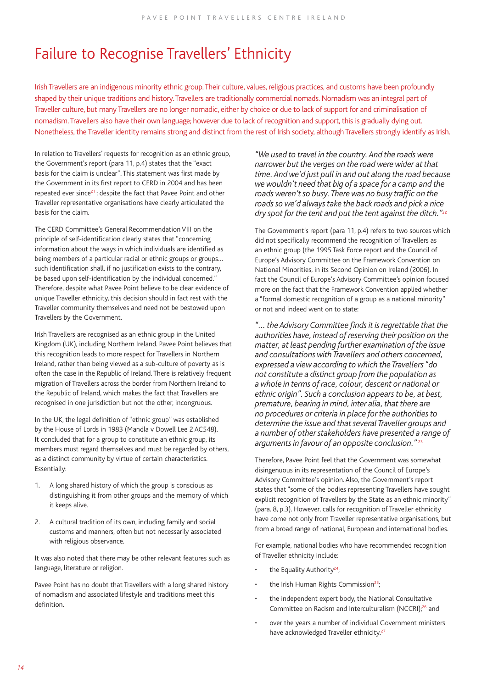# Failure to Recognise Travellers' Ethnicity

Irish Travellers are an indigenous minority ethnic group. Their culture, values, religious practices, and customs have been profoundly shaped by their unique traditions and history. Travellers are traditionally commercial nomads. Nomadism was an integral part of Traveller culture, but many Travellers are no longer nomadic, either by choice or due to lack of support for and criminalisation of nomadism. Travellers also have their own language; however due to lack of recognition and support, this is gradually dying out. Nonetheless, the Traveller identity remains strong and distinct from the rest of Irish society, although Travellers strongly identify as Irish.

In relation to Travellers' requests for recognition as an ethnic group, the Government's report (para 11, p.4) states that the "exact basis for the claim is unclear". This statement was first made by the Government in its first report to CERD in 2004 and has been repeated ever since<sup>21</sup>; despite the fact that Pavee Point and other Traveller representative organisations have clearly articulated the basis for the claim.

The CERD Committee's General Recommendation VIII on the principle of self-identification clearly states that "concerning information about the ways in which individuals are identified as being members of a particular racial or ethnic groups or groups… such identification shall, if no justification exists to the contrary, be based upon self-identification by the individual concerned." Therefore, despite what Pavee Point believe to be clear evidence of unique Traveller ethnicity, this decision should in fact rest with the Traveller community themselves and need not be bestowed upon Travellers by the Government.

Irish Travellers are recognised as an ethnic group in the United Kingdom (UK), including Northern Ireland. Pavee Point believes that this recognition leads to more respect for Travellers in Northern Ireland, rather than being viewed as a sub-culture of poverty as is often the case in the Republic of Ireland. There is relatively frequent migration of Travellers across the border from Northern Ireland to the Republic of Ireland, which makes the fact that Travellers are recognised in one jurisdiction but not the other, incongruous.

In the UK, the legal definition of "ethnic group" was established by the House of Lords in 1983 (Mandla v Dowell Lee 2 AC548). It concluded that for a group to constitute an ethnic group, its members must regard themselves and must be regarded by others, as a distinct community by virtue of certain characteristics. Essentially:

- 1. A long shared history of which the group is conscious as distinguishing it from other groups and the memory of which it keeps alive.
- 2. A cultural tradition of its own, including family and social customs and manners, often but not necessarily associated with religious observance.

It was also noted that there may be other relevant features such as language, literature or religion.

Pavee Point has no doubt that Travellers with a long shared history of nomadism and associated lifestyle and traditions meet this definition.

*"We used to travel in the country. And the roads were narrower but the verges on the road were wider at that time. And we'd just pull in and out along the road because we wouldn't need that big of a space for a camp and the*  roads weren't so busy. There was no busy traffic on the *roads so we'd always take the back roads and pick a nice dry spot for the tent and put the tent against the ditch."*<sup>22</sup>

The Government's report (para 11, p.4) refers to two sources which did not specifically recommend the recognition of Travellers as an ethnic group (the 1995 Task Force report and the Council of Europe's Advisory Committee on the Framework Convention on National Minorities, in its Second Opinion on Ireland (2006). In fact the Council of Europe's Advisory Committee's opinion focused more on the fact that the Framework Convention applied whether a "formal domestic recognition of a group as a national minority" or not and indeed went on to state:

"... the Advisory Committee finds it is regrettable that the *authorities have, instead of reserving their position on the matter, at least pending further examination of the issue and consultations with Travellers and others concerned, expressed a view according to which the Travellers "do not constitute a distinct group from the population as a whole in terms of race, colour, descent or national or ethnic origin". Such a conclusion appears to be, at best, premature, bearing in mind, inter alia, that there are no procedures or criteria in place for the authorities to determine the issue and that several Traveller groups and a number of other stakeholders have presented a range of arguments in favour of an opposite conclusion."* <sup>23</sup>

Therefore, Pavee Point feel that the Government was somewhat disingenuous in its representation of the Council of Europe's Advisory Committee's opinion. Also, the Government's report states that "some of the bodies representing Travellers have sought explicit recognition of Travellers by the State as an ethnic minority" (para. 8, p.3). However, calls for recognition of Traveller ethnicity have come not only from Traveller representative organisations, but from a broad range of national, European and international bodies.

For example, national bodies who have recommended recognition of Traveller ethnicity include:

- $\cdot$  the Equality Authority<sup>24</sup>;
- the Irish Human Rights Commission<sup>25</sup>;
- the independent expert body, the National Consultative Committee on Racism and Interculturalism (NCCRI);<sup>26</sup> and
- over the years a number of individual Government ministers have acknowledged Traveller ethnicity.<sup>27</sup>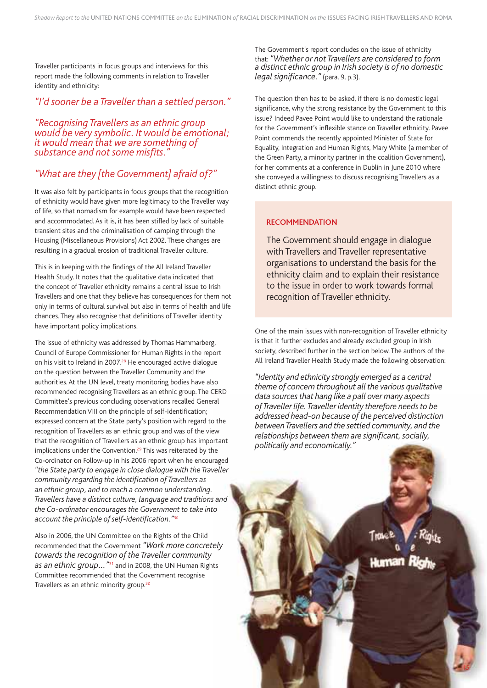Traveller participants in focus groups and interviews for this report made the following comments in relation to Traveller identity and ethnicity:

### *"I'd sooner be a Traveller than a settled person."*

*"Recognising Travellers as an ethnic group would be very symbolic. It would be emotional; it would mean that we are something of*  substance and not some misfits.'

### *"What are they [the Government] afraid of?"*

It was also felt by participants in focus groups that the recognition of ethnicity would have given more legitimacy to the Traveller way of life, so that nomadism for example would have been respected and accommodated. As it is, it has been stifled by lack of suitable transient sites and the criminalisation of camping through the Housing (Miscellaneous Provisions) Act 2002. These changes are resulting in a gradual erosion of traditional Traveller culture.

This is in keeping with the findings of the All Ireland Traveller Health Study. It notes that the qualitative data indicated that the concept of Traveller ethnicity remains a central issue to Irish Travellers and one that they believe has consequences for them not only in terms of cultural survival but also in terms of health and life chances. They also recognise that definitions of Traveller identity have important policy implications.

The issue of ethnicity was addressed by Thomas Hammarberg, Council of Europe Commissioner for Human Rights in the report on his visit to Ireland in 2007.<sup>28</sup> He encouraged active dialogue on the question between the Traveller Community and the authorities. At the UN level, treaty monitoring bodies have also recommended recognising Travellers as an ethnic group. The CERD Committee's previous concluding observations recalled General Recommendation VIII on the principle of self-identification; expressed concern at the State party's position with regard to the recognition of Travellers as an ethnic group and was of the view that the recognition of Travellers as an ethnic group has important implications under the Convention.<sup>29</sup> This was reiterated by the Co-ordinator on Follow-up in his 2006 report when he encouraged *"the State party to engage in close dialogue with the Traveller community regarding the identifi cation of Travellers as an ethnic group, and to reach a common understanding. Travellers have a distinct culture, language and traditions and the Co-ordinator encourages the Government to take into*  account the principle of self-identification."<sup>30</sup>

Also in 2006, the UN Committee on the Rights of the Child recommended that the Government *"Work more concretely towards the recognition of the Traveller community as an ethnic group…"*<sup>31</sup> and in 2008, the UN Human Rights Committee recommended that the Government recognise Travellers as an ethnic minority group.<sup>32</sup>

The Government's report concludes on the issue of ethnicity that: *"Whether or not Travellers are considered to form a distinct ethnic group in Irish society is of no domestic legal signifi cance."* (para. 9, p.3).

The question then has to be asked, if there is no domestic legal significance, why the strong resistance by the Government to this issue? Indeed Pavee Point would like to understand the rationale for the Government's inflexible stance on Traveller ethnicity. Pavee Point commends the recently appointed Minister of State for Equality, Integration and Human Rights, Mary White (a member of the Green Party, a minority partner in the coalition Government), for her comments at a conference in Dublin in June 2010 where she conveyed a willingness to discuss recognising Travellers as a distinct ethnic group.

### **RECOMMENDATION**

The Government should engage in dialogue with Travellers and Traveller representative organisations to understand the basis for the ethnicity claim and to explain their resistance to the issue in order to work towards formal recognition of Traveller ethnicity.

One of the main issues with non-recognition of Traveller ethnicity is that it further excludes and already excluded group in Irish society, described further in the section below. The authors of the All Ireland Traveller Health Study made the following observation:

*"Identity and ethnicity strongly emerged as a central theme of concern throughout all the various qualitative data sources that hang like a pall over many aspects of Traveller life. Traveller identity therefore needs to be addressed head-on because of the perceived distinction between Travellers and the settled community, and the*  relationships between them are significant, socially, *politically and economically."*

*15*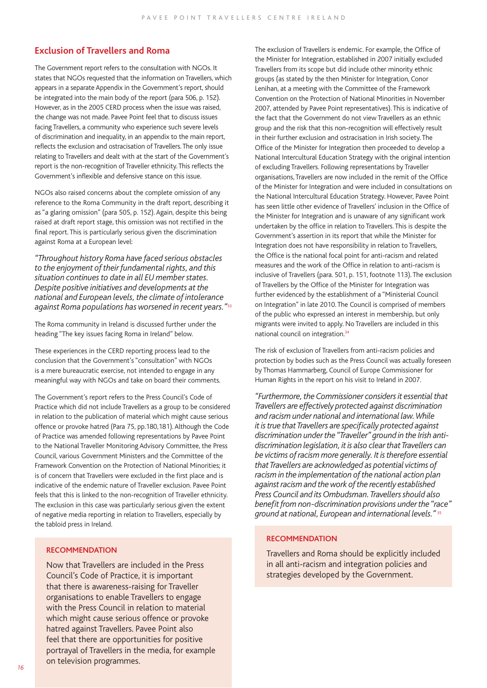### **Exclusion of Travellers and Roma**

The Government report refers to the consultation with NGOs. It states that NGOs requested that the information on Travellers, which appears in a separate Appendix in the Government's report, should be integrated into the main body of the report (para 506, p. 152). However, as in the 2005 CERD process when the issue was raised, the change was not made. Pavee Point feel that to discuss issues facing Travellers, a community who experience such severe levels of discrimination and inequality, in an appendix to the main report, reflects the exclusion and ostracisation of Travellers. The only issue relating to Travellers and dealt with at the start of the Government's report is the non-recognition of Traveller ethnicity. This reflects the Government's inflexible and defensive stance on this issue.

NGOs also raised concerns about the complete omission of any reference to the Roma Community in the draft report, describing it as "a glaring omission" (para 505, p. 152). Again, despite this being raised at draft report stage, this omission was not rectified in the final report. This is particularly serious given the discrimination against Roma at a European level:

*"Throughout history Roma have faced serious obstacles to the enjoyment of their fundamental rights, and this situation continues to date in all EU member states. Despite positive initiatives and developments at the national and European levels, the climate of intolerance against Roma populations has worsened in recent years."*<sup>33</sup>

The Roma community in Ireland is discussed further under the heading "The key issues facing Roma in Ireland" below.

These experiences in the CERD reporting process lead to the conclusion that the Government's "consultation" with NGOs is a mere bureaucratic exercise, not intended to engage in any meaningful way with NGOs and take on board their comments.

The Government's report refers to the Press Council's Code of Practice which did not include Travellers as a group to be considered in relation to the publication of material which might cause serious offence or provoke hatred (Para 75, pp.180,181). Although the Code of Practice was amended following representations by Pavee Point to the National Traveller Monitoring Advisory Committee, the Press Council, various Government Ministers and the Committee of the Framework Convention on the Protection of National Minorities; it is of concern that Travellers were excluded in the first place and is indicative of the endemic nature of Traveller exclusion. Pavee Point feels that this is linked to the non-recognition of Traveller ethnicity. The exclusion in this case was particularly serious given the extent of negative media reporting in relation to Travellers, especially by the tabloid press in Ireland.

### **RECOMMENDATION**

Now that Travellers are included in the Press Council's Code of Practice, it is important that there is awareness-raising for Traveller organisations to enable Travellers to engage with the Press Council in relation to material which might cause serious offence or provoke hatred against Travellers. Pavee Point also feel that there are opportunities for positive portrayal of Travellers in the media, for example on television programmes.

The exclusion of Travellers is endemic. For example, the Office of the Minister for Integration, established in 2007 initially excluded Travellers from its scope but did include other minority ethnic groups (as stated by the then Minister for Integration, Conor Lenihan, at a meeting with the Committee of the Framework Convention on the Protection of National Minorities in November 2007, attended by Pavee Point representatives). This is indicative of the fact that the Government do not view Travellers as an ethnic group and the risk that this non-recognition will effectively result in their further exclusion and ostracisation in Irish society. The Office of the Minister for Integration then proceeded to develop a National Intercultural Education Strategy with the original intention of excluding Travellers. Following representations by Traveller organisations, Travellers are now included in the remit of the Office of the Minister for Integration and were included in consultations on the National Intercultural Education Strategy. However, Pavee Point has seen little other evidence of Travellers' inclusion in the Office of the Minister for Integration and is unaware of any significant work undertaken by the office in relation to Travellers. This is despite the Government's assertion in its report that while the Minister for Integration does not have responsibility in relation to Travellers, the Office is the national focal point for anti-racism and related measures and the work of the Office in relation to anti-racism is inclusive of Travellers (para. 501, p. 151, footnote 113). The exclusion of Travellers by the Office of the Minister for Integration was further evidenced by the establishment of a "Ministerial Council on Integration" in late 2010. The Council is comprised of members of the public who expressed an interest in membership, but only migrants were invited to apply. No Travellers are included in this national council on integration.34

The risk of exclusion of Travellers from anti-racism policies and protection by bodies such as the Press Council was actually foreseen by Thomas Hammarberg, Council of Europe Commissioner for Human Rights in the report on his visit to Ireland in 2007.

*"Furthermore, the Commissioner considers it essential that Travellers are effectively protected against discrimination and racism under national and international law. While it is true that Travellers are specifi cally protected against discrimination under the "Traveller" ground in the Irish antidiscrimination legislation, it is also clear that Travellers can be victims of racism more generally. It is therefore essential that Travellers are acknowledged as potential victims of racism in the implementation of the national action plan against racism and the work of the recently established Press Council and its Ombudsman. Travellers should also*  benefit from non-discrimination provisions under the "race" *ground at national, European and international levels."* <sup>35</sup>

#### **RECOMMENDATION**

Travellers and Roma should be explicitly included in all anti-racism and integration policies and strategies developed by the Government.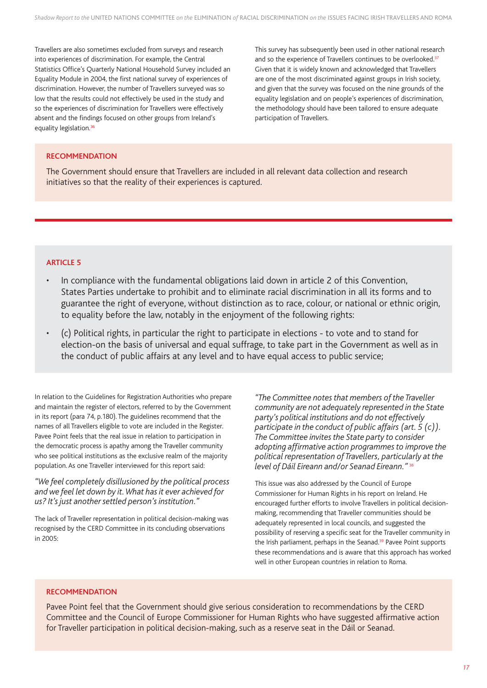Travellers are also sometimes excluded from surveys and research into experiences of discrimination. For example, the Central Statistics Office's Quarterly National Household Survey included an Equality Module in 2004, the first national survey of experiences of discrimination. However, the number of Travellers surveyed was so low that the results could not effectively be used in the study and so the experiences of discrimination for Travellers were effectively absent and the findings focused on other groups from Ireland's equality legislation.<sup>36</sup>

This survey has subsequently been used in other national research and so the experience of Travellers continues to be overlooked.<sup>37</sup> Given that it is widely known and acknowledged that Travellers are one of the most discriminated against groups in Irish society, and given that the survey was focused on the nine grounds of the equality legislation and on people's experiences of discrimination, the methodology should have been tailored to ensure adequate participation of Travellers.

### **RECOMMENDATION**

The Government should ensure that Travellers are included in all relevant data collection and research initiatives so that the reality of their experiences is captured.

### **ARTICLE 5**

- In compliance with the fundamental obligations laid down in article 2 of this Convention, States Parties undertake to prohibit and to eliminate racial discrimination in all its forms and to guarantee the right of everyone, without distinction as to race, colour, or national or ethnic origin, to equality before the law, notably in the enjoyment of the following rights:
- (c) Political rights, in particular the right to participate in elections to vote and to stand for election-on the basis of universal and equal suffrage, to take part in the Government as well as in the conduct of public affairs at any level and to have equal access to public service;

In relation to the Guidelines for Registration Authorities who prepare and maintain the register of electors, referred to by the Government in its report (para 74, p.180). The guidelines recommend that the names of all Travellers eligible to vote are included in the Register. Pavee Point feels that the real issue in relation to participation in the democratic process is apathy among the Traveller community who see political institutions as the exclusive realm of the majority population. As one Traveller interviewed for this report said:

### *"We feel completely disillusioned by the political process and we feel let down by it. What has it ever achieved for us? It's just another settled person's institution."*

The lack of Traveller representation in political decision-making was recognised by the CERD Committee in its concluding observations in 2005:

*"The Committee notes that members of the Traveller community are not adequately represented in the State party's political institutions and do not effectively participate in the conduct of public affairs (art. 5 (c)). The Committee invites the State party to consider*  adopting affirmative action programmes to improve the *political representation of Travellers, particularly at the level of Dáil Eireann and/or Seanad Eireann."* <sup>38</sup>

This issue was also addressed by the Council of Europe Commissioner for Human Rights in his report on Ireland. He encouraged further efforts to involve Travellers in political decisionmaking, recommending that Traveller communities should be adequately represented in local councils, and suggested the possibility of reserving a specific seat for the Traveller community in the Irish parliament, perhaps in the Seanad.<sup>39</sup> Pavee Point supports these recommendations and is aware that this approach has worked well in other European countries in relation to Roma.

### **RECOMMENDATION**

Pavee Point feel that the Government should give serious consideration to recommendations by the CERD Committee and the Council of Europe Commissioner for Human Rights who have suggested affirmative action for Traveller participation in political decision-making, such as a reserve seat in the Dáil or Seanad.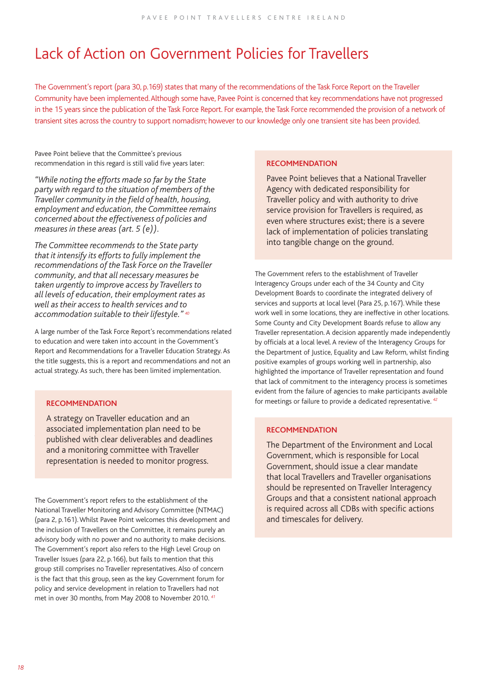# Lack of Action on Government Policies for Travellers

The Government's report (para 30, p.169) states that many of the recommendations of the Task Force Report on the Traveller Community have been implemented. Although some have, Pavee Point is concerned that key recommendations have not progressed in the 15 years since the publication of the Task Force Report. For example, the Task Force recommended the provision of a network of transient sites across the country to support nomadism; however to our knowledge only one transient site has been provided.

Pavee Point believe that the Committee's previous recommendation in this regard is still valid five years later:

*"While noting the efforts made so far by the State party with regard to the situation of members of the Traveller community in the fi eld of health, housing, employment and education, the Committee remains concerned about the effectiveness of policies and measures in these areas (art. 5 (e)).* 

*The Committee recommends to the State party that it intensify its efforts to fully implement the recommendations of the Task Force on the Traveller community, and that all necessary measures be taken urgently to improve access by Travellers to all levels of education, their employment rates as well as their access to health services and to accommodation suitable to their lifestyle." 40*

A large number of the Task Force Report's recommendations related to education and were taken into account in the Government's Report and Recommendations for a Traveller Education Strategy. As the title suggests, this is a report and recommendations and not an actual strategy. As such, there has been limited implementation.

### **RECOMMENDATION**

published with clear deliverables and deadlines A strategy on Traveller education and an associated implementation plan need to be and a monitoring committee with Traveller representation is needed to monitor progress.

The Government's report refers to the establishment of the National Traveller Monitoring and Advisory Committee (NTMAC) (para 2, p.161). Whilst Pavee Point welcomes this development and the inclusion of Travellers on the Committee, it remains purely an advisory body with no power and no authority to make decisions. The Government's report also refers to the High Level Group on Traveller Issues (para 22, p.166), but fails to mention that this group still comprises no Traveller representatives. Also of concern is the fact that this group, seen as the key Government forum for policy and service development in relation to Travellers had not met in over 30 months, from May 2008 to November 2010. *<sup>41</sup>*

### **RECOMMENDATION**

Pavee Point believes that a National Traveller Agency with dedicated responsibility for Traveller policy and with authority to drive service provision for Travellers is required, as even where structures exist; there is a severe lack of implementation of policies translating into tangible change on the ground.

The Government refers to the establishment of Traveller Interagency Groups under each of the 34 County and City Development Boards to coordinate the integrated delivery of services and supports at local level (Para 25, p.167). While these work well in some locations, they are ineffective in other locations. Some County and City Development Boards refuse to allow any Traveller representation. A decision apparently made independently by officials at a local level. A review of the Interagency Groups for the Department of Justice, Equality and Law Reform, whilst finding positive examples of groups working well in partnership, also highlighted the importance of Traveller representation and found that lack of commitment to the interagency process is sometimes evident from the failure of agencies to make participants available for meetings or failure to provide a dedicated representative. *<sup>42</sup>*

### **RECOMMENDATION**

The Department of the Environment and Local Government, which is responsible for Local Government, should issue a clear mandate that local Travellers and Traveller organisations should be represented on Traveller Interagency Groups and that a consistent national approach is required across all CDBs with specific actions and timescales for delivery.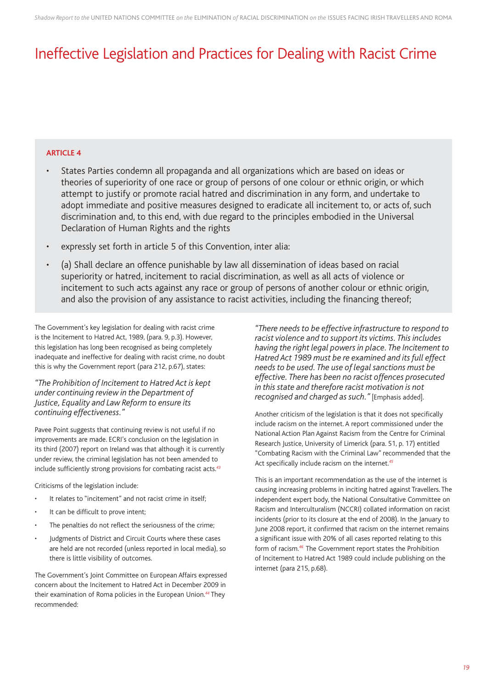# Ineffective Legislation and Practices for Dealing with Racist Crime

### **ARTICLE 4**

- States Parties condemn all propaganda and all organizations which are based on ideas or theories of superiority of one race or group of persons of one colour or ethnic origin, or which attempt to justify or promote racial hatred and discrimination in any form, and undertake to adopt immediate and positive measures designed to eradicate all incitement to, or acts of, such discrimination and, to this end, with due regard to the principles embodied in the Universal Declaration of Human Rights and the rights
- expressly set forth in article 5 of this Convention, inter alia:
- (a) Shall declare an offence punishable by law all dissemination of ideas based on racial superiority or hatred, incitement to racial discrimination, as well as all acts of violence or incitement to such acts against any race or group of persons of another colour or ethnic origin, and also the provision of any assistance to racist activities, including the financing thereof;

The Government's key legislation for dealing with racist crime is the Incitement to Hatred Act, 1989, (para. 9, p.3). However, this legislation has long been recognised as being completely inadequate and ineffective for dealing with racist crime, no doubt this is why the Government report (para 212, p.67), states:

### *"The Prohibition of Incitement to Hatred Act is kept under continuing review in the Department of Justice, Equality and Law Reform to ensure its continuing effectiveness."*

Pavee Point suggests that continuing review is not useful if no improvements are made. ECRI's conclusion on the legislation in its third (2007) report on Ireland was that although it is currently under review, the criminal legislation has not been amended to include sufficiently strong provisions for combating racist acts.<sup>43</sup>

Criticisms of the legislation include:

- It relates to "incitement" and not racist crime in itself:
- It can be difficult to prove intent;
- The penalties do not reflect the seriousness of the crime;
- Judgments of District and Circuit Courts where these cases are held are not recorded (unless reported in local media), so there is little visibility of outcomes.

The Government's Joint Committee on European Affairs expressed concern about the Incitement to Hatred Act in December 2009 in their examination of Roma policies in the European Union.*<sup>44</sup>* They recommended:

*"There needs to be effective infrastructure to respond to racist violence and to support its victims. This includes having the right legal powers in place. The Incitement to Hatred Act 1989 must be re examined and its full effect needs to be used. The use of legal sanctions must be effective. There has been no racist offences prosecuted in this state and therefore racist motivation is not recognised and charged as such."* [Emphasis added].

Another criticism of the legislation is that it does not specifically include racism on the internet. A report commissioned under the National Action Plan Against Racism from the Centre for Criminal Research Justice, University of Limerick (para. 51, p. 17) entitled "Combating Racism with the Criminal Law" recommended that the Act specifically include racism on the internet.<sup>45</sup>

This is an important recommendation as the use of the internet is causing increasing problems in inciting hatred against Travellers. The independent expert body, the National Consultative Committee on Racism and Interculturalism (NCCRI) collated information on racist incidents (prior to its closure at the end of 2008). In the January to June 2008 report, it confirmed that racism on the internet remains a significant issue with 20% of all cases reported relating to this form of racism.*<sup>46</sup>* The Government report states the Prohibition of Incitement to Hatred Act 1989 could include publishing on the internet (para 215, p.68).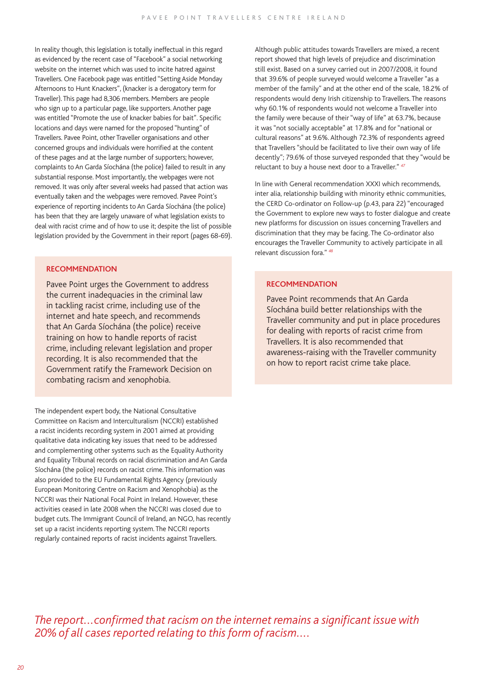In reality though, this legislation is totally ineffectual in this regard as evidenced by the recent case of "Facebook" a social networking website on the internet which was used to incite hatred against Travellers. One Facebook page was entitled "Setting Aside Monday Afternoons to Hunt Knackers", (knacker is a derogatory term for Traveller). This page had 8,306 members. Members are people who sign up to a particular page, like supporters. Another page was entitled "Promote the use of knacker babies for bait". Specific locations and days were named for the proposed "hunting" of Travellers. Pavee Point, other Traveller organisations and other concerned groups and individuals were horrified at the content of these pages and at the large number of supporters; however, complaints to An Garda Síochána (the police) failed to result in any substantial response. Most importantly, the webpages were not removed. It was only after several weeks had passed that action was eventually taken and the webpages were removed. Pavee Point's experience of reporting incidents to An Garda Síochána (the police) has been that they are largely unaware of what legislation exists to deal with racist crime and of how to use it; despite the list of possible legislation provided by the Government in their report (pages 68-69).

### **RECOMMENDATION**

Pavee Point urges the Government to address the current inadequacies in the criminal law in tackling racist crime, including use of the internet and hate speech, and recommends that An Garda Síochána (the police) receive training on how to handle reports of racist crime, including relevant legislation and proper recording. It is also recommended that the Government ratify the Framework Decision on combating racism and xenophobia.

The independent expert body, the National Consultative Committee on Racism and Interculturalism (NCCRI) established a racist incidents recording system in 2001 aimed at providing qualitative data indicating key issues that need to be addressed and complementing other systems such as the Equality Authority and Equality Tribunal records on racial discrimination and An Garda Síochána (the police) records on racist crime. This information was also provided to the EU Fundamental Rights Agency (previously European Monitoring Centre on Racism and Xenophobia) as the NCCRI was their National Focal Point in Ireland. However, these activities ceased in late 2008 when the NCCRI was closed due to budget cuts. The Immigrant Council of Ireland, an NGO, has recently set up a racist incidents reporting system. The NCCRI reports regularly contained reports of racist incidents against Travellers.

Although public attitudes towards Travellers are mixed, a recent report showed that high levels of prejudice and discrimination still exist. Based on a survey carried out in 2007/2008, it found that 39.6% of people surveyed would welcome a Traveller "as a member of the family" and at the other end of the scale, 18.2% of respondents would deny Irish citizenship to Travellers. The reasons why 60.1% of respondents would not welcome a Traveller into the family were because of their "way of life" at 63.7%, because it was "not socially acceptable" at 17.8% and for "national or cultural reasons" at 9.6%. Although 72.3% of respondents agreed that Travellers "should be facilitated to live their own way of life decently"; 79.6% of those surveyed responded that they "would be reluctant to buy a house next door to a Traveller." *<sup>47</sup>*

In line with General recommendation XXXI which recommends, inter alia, relationship building with minority ethnic communities, the CERD Co-ordinator on Follow-up (p.43, para 22) "encouraged the Government to explore new ways to foster dialogue and create new platforms for discussion on issues concerning Travellers and discrimination that they may be facing. The Co-ordinator also encourages the Traveller Community to actively participate in all relevant discussion fora." *<sup>48</sup>*

### **RECOMMENDATION**

Pavee Point recommends that An Garda Síochána build better relationships with the Traveller community and put in place procedures for dealing with reports of racist crime from Travellers. It is also recommended that awareness-raising with the Traveller community on how to report racist crime take place.

*The report...confirmed that racism on the internet remains a significant issue with 20% of all cases reported relating to this form of racism....*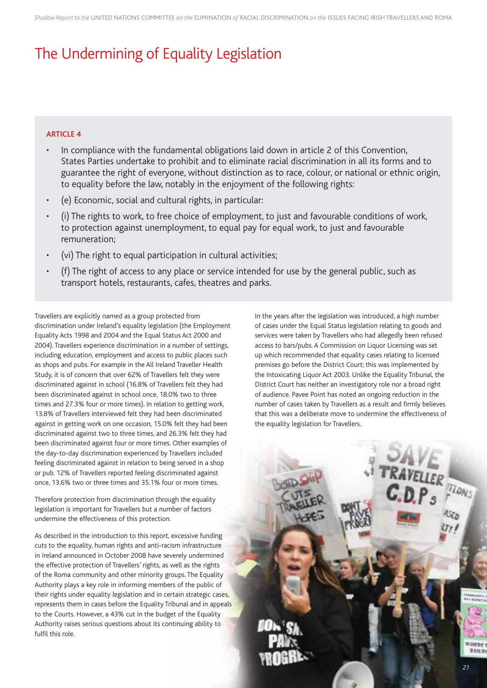# The Undermining of Equality Legislation

### **ARTICLE 4**

- In compliance with the fundamental obligations laid down in article 2 of this Convention, States Parties undertake to prohibit and to eliminate racial discrimination in all its forms and to guarantee the right of everyone, without distinction as to race, colour, or national or ethnic origin, to equality before the law, notably in the enjoyment of the following rights:
- (e) Economic, social and cultural rights, in particular:
- (i) The rights to work, to free choice of employment, to just and favourable conditions of work, to protection against unemployment, to equal pay for equal work, to just and favourable remuneration;
- (vi) The right to equal participation in cultural activities;
- (f) The right of access to any place or service intended for use by the general public, such as transport hotels, restaurants, cafes, theatres and parks.

Travellers are explicitly named as a group protected from discrimination under Ireland's equality legislation (the Employment Equality Acts 1998 and 2004 and the Equal Status Act 2000 and 2004). Travellers experience discrimination in a number of settings, including education, employment and access to public places such as shops and pubs. For example in the All Ireland Traveller Health Study, it is of concern that over 62% of Travellers felt they were discriminated against in school (16.8% of Travellers felt they had been discriminated against in school once, 18.0% two to three times and 27.3% four or more times). In relation to getting work, 13.8% of Travellers interviewed felt they had been discriminated against in getting work on one occasion, 15.0% felt they had been discriminated against two to three times, and 26.3% felt they had been discriminated against four or more times. Other examples of the day-to-day discrimination experienced by Travellers included feeling discriminated against in relation to being served in a shop or pub. 12% of Travellers reported feeling discriminated against once, 13.6% two or three times and 35.1% four or more times.

Therefore protection from discrimination through the equality legislation is important for Travellers but a number of factors undermine the effectiveness of this protection.

As described in the introduction to this report, excessive funding cuts to the equality, human rights and anti-racism infrastructure in Ireland announced in October 2008 have severely undermined the effective protection of Travellers' rights, as well as the rights of the Roma community and other minority groups. The Equality Authority plays a key role in informing members of the public of their rights under equality legislation and in certain strategic cases, represents them in cases before the Equality Tribunal and in appeals to the Courts. However, a 43% cut in the budget of the Equality Authority raises serious questions about its continuing ability to fulfil this role.

In the years after the legislation was introduced, a high number of cases under the Equal Status legislation relating to goods and services were taken by Travellers who had allegedly been refused access to bars/pubs. A Commission on Liquor Licensing was set up which recommended that equality cases relating to licensed premises go before the District Court; this was implemented by the Intoxicating Liquor Act 2003. Unlike the Equality Tribunal, the District Court has neither an investigatory role nor a broad right of audience. Pavee Point has noted an ongoing reduction in the number of cases taken by Travellers as a result and firmly believes that this was a deliberate move to undermine the effectiveness of the equality legislation for Travellers.

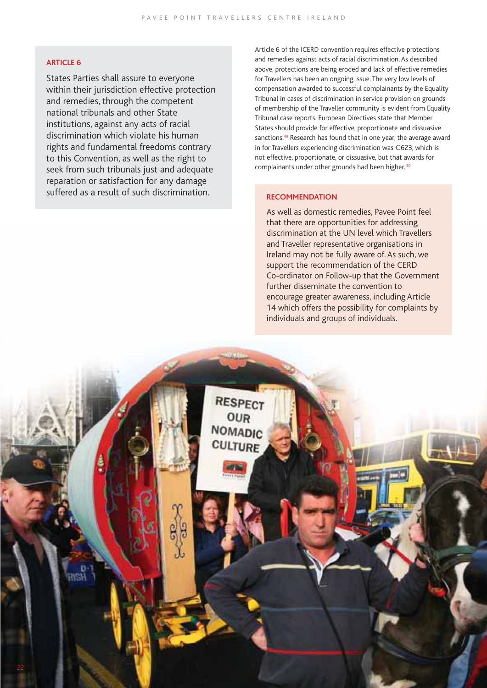### **ARTICLE 6**

States Parties shall assure to everyone within their jurisdiction effective protection and remedies, through the competent national tribunals and other State institutions, against any acts of racial discrimination which violate his human rights and fundamental freedoms contrary to this Convention, as well as the right to seek from such tribunals just and adequate reparation or satisfaction for any damage suffered as a result of such discrimination.

Article 6 of the ICERD convention requires effective protections and remedies against acts of racial discrimination. As described above, protections are being eroded and lack of effective remedies for Travellers has been an ongoing issue. The very low levels of compensation awarded to successful complainants by the Equality Tribunal in cases of discrimination in service provision on grounds of membership of the Traveller community is evident from Equality Tribunal case reports. European Directives state that Member States should provide for effective, proportionate and dissuasive sanctions.49 Research has found that in one year, the average award in for Travellers experiencing discrimination was €623; which is not effective, proportionate, or dissuasive, but that awards for complainants under other grounds had been higher. 50

### **RECOMMENDATION**

As well as domestic remedies, Pavee Point feel that there are opportunities for addressing discrimination at the UN level which Travellers and Traveller representative organisations in Ireland may not be fully aware of. As such, we support the recommendation of the CERD Co-ordinator on Follow-up that the Government further disseminate the convention to encourage greater awareness, including Article 14 which offers the possibility for complaints by individuals and groups of individuals.

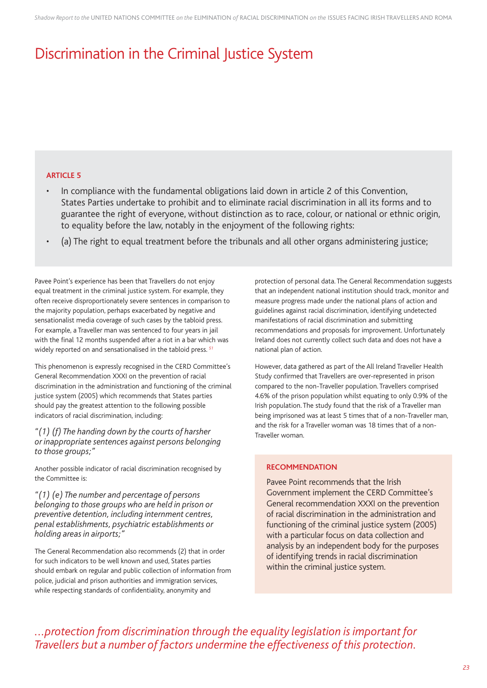# Discrimination in the Criminal Justice System

### **ARTICLE 5**

- In compliance with the fundamental obligations laid down in article 2 of this Convention, States Parties undertake to prohibit and to eliminate racial discrimination in all its forms and to guarantee the right of everyone, without distinction as to race, colour, or national or ethnic origin, to equality before the law, notably in the enjoyment of the following rights:
- (a) The right to equal treatment before the tribunals and all other organs administering justice;

Pavee Point's experience has been that Travellers do not enjoy equal treatment in the criminal justice system. For example, they often receive disproportionately severe sentences in comparison to the majority population, perhaps exacerbated by negative and sensationalist media coverage of such cases by the tabloid press. For example, a Traveller man was sentenced to four years in jail with the final 12 months suspended after a riot in a bar which was widely reported on and sensationalised in the tabloid press. *<sup>51</sup>*

This phenomenon is expressly recognised in the CERD Committee's General Recommendation XXXI on the prevention of racial discrimination in the administration and functioning of the criminal justice system (2005) which recommends that States parties should pay the greatest attention to the following possible indicators of racial discrimination, including:

*"(1) (f) The handing down by the courts of harsher or inappropriate sentences against persons belonging to those groups;"*

Another possible indicator of racial discrimination recognised by the Committee is:

*"(1) (e) The number and percentage of persons belonging to those groups who are held in prison or preventive detention, including internment centres, penal establishments, psychiatric establishments or holding areas in airports;"*

The General Recommendation also recommends (2) that in order for such indicators to be well known and used, States parties should embark on regular and public collection of information from police, judicial and prison authorities and immigration services, while respecting standards of confidentiality, anonymity and

protection of personal data. The General Recommendation suggests that an independent national institution should track, monitor and measure progress made under the national plans of action and guidelines against racial discrimination, identifying undetected manifestations of racial discrimination and submitting recommendations and proposals for improvement. Unfortunately Ireland does not currently collect such data and does not have a national plan of action.

However, data gathered as part of the All Ireland Traveller Health Study confirmed that Travellers are over-represented in prison compared to the non-Traveller population. Travellers comprised 4.6% of the prison population whilst equating to only 0.9% of the Irish population. The study found that the risk of a Traveller man being imprisoned was at least 5 times that of a non-Traveller man, and the risk for a Traveller woman was 18 times that of a non-Traveller woman.

### **RECOMMENDATION**

Pavee Point recommends that the Irish Government implement the CERD Committee's General recommendation XXXI on the prevention of racial discrimination in the administration and functioning of the criminal justice system (2005) with a particular focus on data collection and analysis by an independent body for the purposes of identifying trends in racial discrimination within the criminal justice system.

*...protection from discrimination through the equality legislation is important for Travellers but a number of factors undermine the effectiveness of this protection.*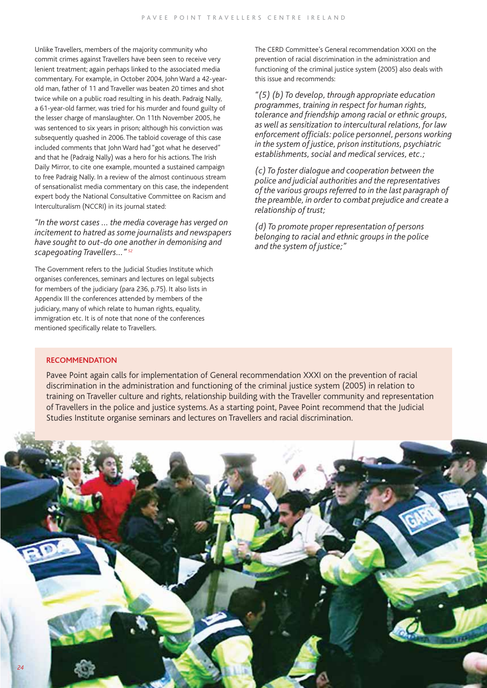Unlike Travellers, members of the majority community who commit crimes against Travellers have been seen to receive very lenient treatment; again perhaps linked to the associated media commentary. For example, in October 2004, John Ward a 42-yearold man, father of 11 and Traveller was beaten 20 times and shot twice while on a public road resulting in his death. Padraig Nally, a 61-year-old farmer, was tried for his murder and found guilty of the lesser charge of manslaughter. On 11th November 2005, he was sentenced to six years in prison; although his conviction was subsequently quashed in 2006. The tabloid coverage of this case included comments that John Ward had "got what he deserved" and that he (Padraig Nally) was a hero for his actions. The Irish Daily Mirror, to cite one example, mounted a sustained campaign to free Padraig Nally. In a review of the almost continuous stream of sensationalist media commentary on this case, the independent expert body the National Consultative Committee on Racism and Interculturalism (NCCRI) in its journal stated:

*"In the worst cases … the media coverage has verged on incitement to hatred as some journalists and newspapers have sought to out-do one another in demonising and scapegoating Travellers…" 52*

The Government refers to the Judicial Studies Institute which organises conferences, seminars and lectures on legal subjects for members of the judiciary (para 236, p.75). It also lists in Appendix III the conferences attended by members of the judiciary, many of which relate to human rights, equality, immigration etc. It is of note that none of the conferences mentioned specifically relate to Travellers.

The CERD Committee's General recommendation XXXI on the prevention of racial discrimination in the administration and functioning of the criminal justice system (2005) also deals with this issue and recommends:

*"(5) (b) To develop, through appropriate education programmes, training in respect for human rights, tolerance and friendship among racial or ethnic groups, as well as sensitization to intercultural relations, for law enforcement officials: police personnel, persons working in the system of justice, prison institutions, psychiatric establishments, social and medical services, etc.;*

*(c) To foster dialogue and cooperation between the police and judicial authorities and the representatives of the various groups referred to in the last paragraph of the preamble, in order to combat prejudice and create a relationship of trust;*

*(d) To promote proper representation of persons belonging to racial and ethnic groups in the police and the system of justice;"*

#### **RECOMMENDATION**

Pavee Point again calls for implementation of General recommendation XXXI on the prevention of racial discrimination in the administration and functioning of the criminal justice system (2005) in relation to training on Traveller culture and rights, relationship building with the Traveller community and representation of Travellers in the police and justice systems. As a starting point, Pavee Point recommend that the Judicial Studies Institute organise seminars and lectures on Travellers and racial discrimination.

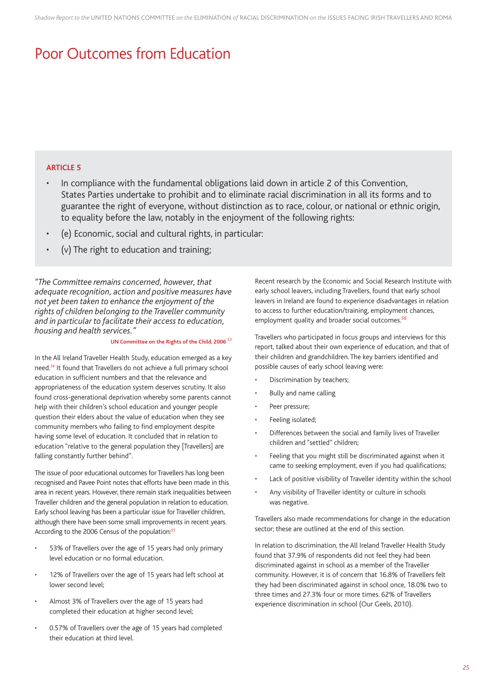# Poor Outcomes from Education

### **ARTICLE 5**

- In compliance with the fundamental obligations laid down in article 2 of this Convention, States Parties undertake to prohibit and to eliminate racial discrimination in all its forms and to guarantee the right of everyone, without distinction as to race, colour, or national or ethnic origin, to equality before the law, notably in the enjoyment of the following rights:
- (e) Economic, social and cultural rights, in particular:
- (v) The right to education and training;

*"The Committee remains concerned, however, that adequate recognition, action and positive measures have not yet been taken to enhance the enjoyment of the rights of children belonging to the Traveller community and in particular to facilitate their access to education, housing and health services."*

### **UN Committee on the Rights of the Child, 2006** *<sup>53</sup>*

In the All Ireland Traveller Health Study, education emerged as a key need.*<sup>54</sup>* It found that Travellers do not achieve a full primary school education in sufficient numbers and that the relevance and appropriateness of the education system deserves scrutiny. It also found cross-generational deprivation whereby some parents cannot help with their children's school education and younger people question their elders about the value of education when they see community members who failing to find employment despite having some level of education. It concluded that in relation to education "relative to the general population they [Travellers] are falling constantly further behind".

The issue of poor educational outcomes for Travellers has long been recognised and Pavee Point notes that efforts have been made in this area in recent years. However, there remain stark inequalities between Traveller children and the general population in relation to education. Early school leaving has been a particular issue for Traveller children, although there have been some small improvements in recent years. According to the 2006 Census of the population:*<sup>55</sup>*

- 53% of Travellers over the age of 15 years had only primary level education or no formal education.
- 12% of Travellers over the age of 15 years had left school at lower second level;
- Almost 3% of Travellers over the age of 15 years had completed their education at higher second level;
- 0.57% of Travellers over the age of 15 years had completed their education at third level.

Recent research by the Economic and Social Research Institute with early school leavers, including Travellers, found that early school leavers in Ireland are found to experience disadvantages in relation to access to further education/training, employment chances, employment quality and broader social outcomes.*<sup>56</sup>*

Travellers who participated in focus groups and interviews for this report, talked about their own experience of education, and that of their children and grandchildren. The key barriers identified and possible causes of early school leaving were:

- Discrimination by teachers;
- Bully and name calling
- Peer pressure;
- Feeling isolated;
- Differences between the social and family lives of Traveller children and "settled" children;
- Feeling that you might still be discriminated against when it came to seeking employment, even if you had qualifications;
- Lack of positive visibility of Traveller identity within the school
- Any visibility of Traveller identity or culture in schools was negative.

Travellers also made recommendations for change in the education sector; these are outlined at the end of this section.

In relation to discrimination, the All Ireland Traveller Health Study found that 37.9% of respondents did not feel they had been discriminated against in school as a member of the Traveller community. However, it is of concern that 16.8% of Travellers felt they had been discriminated against in school once, 18.0% two to three times and 27.3% four or more times. 62% of Travellers experience discrimination in school (Our Geels, 2010).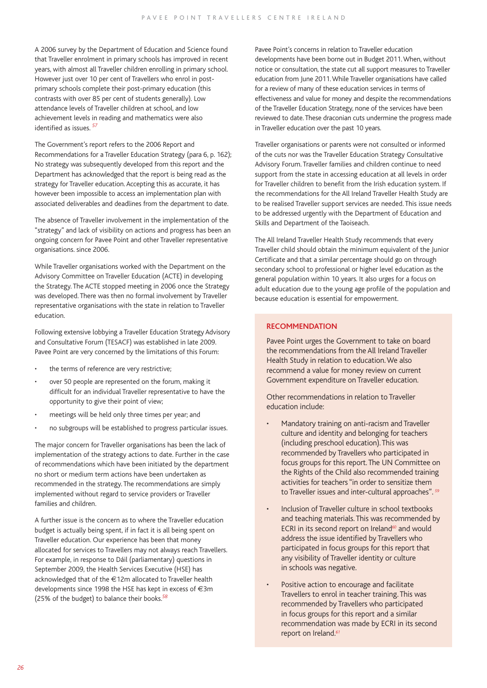A 2006 survey by the Department of Education and Science found that Traveller enrolment in primary schools has improved in recent years, with almost all Traveller children enrolling in primary school. However just over 10 per cent of Travellers who enrol in postprimary schools complete their post-primary education (this contrasts with over 85 per cent of students generally). Low attendance levels of Traveller children at school, and low achievement levels in reading and mathematics were also identified as issues. <sup>57</sup>

The Government's report refers to the 2006 Report and Recommendations for a Traveller Education Strategy (para 6, p. 162); No strategy was subsequently developed from this report and the Department has acknowledged that the report is being read as the strategy for Traveller education. Accepting this as accurate, it has however been impossible to access an implementation plan with associated deliverables and deadlines from the department to date.

The absence of Traveller involvement in the implementation of the "strategy" and lack of visibility on actions and progress has been an ongoing concern for Pavee Point and other Traveller representative organisations. since 2006.

While Traveller organisations worked with the Department on the Advisory Committee on Traveller Education (ACTE) in developing the Strategy. The ACTE stopped meeting in 2006 once the Strategy was developed. There was then no formal involvement by Traveller representative organisations with the state in relation to Traveller education.

Following extensive lobbying a Traveller Education Strategy Advisory and Consultative Forum (TESACF) was established in late 2009. Pavee Point are very concerned by the limitations of this Forum:

- the terms of reference are very restrictive;
- over 50 people are represented on the forum, making it difficult for an individual Traveller representative to have the opportunity to give their point of view;
- meetings will be held only three times per year; and
- no subgroups will be established to progress particular issues.

The major concern for Traveller organisations has been the lack of implementation of the strategy actions to date. Further in the case of recommendations which have been initiated by the department no short or medium term actions have been undertaken as recommended in the strategy. The recommendations are simply implemented without regard to service providers or Traveller families and children.

A further issue is the concern as to where the Traveller education budget is actually being spent, if in fact it is all being spent on Traveller education. Our experience has been that money allocated for services to Travellers may not always reach Travellers. For example, in response to Dáil (parliamentary) questions in September 2009, the Health Services Executive (HSE) has acknowledged that of the €12m allocated to Traveller health developments since 1998 the HSE has kept in excess of €3m (25% of the budget) to balance their books.*<sup>58</sup>*

Pavee Point's concerns in relation to Traveller education developments have been borne out in Budget 2011. When, without notice or consultation, the state cut all support measures to Traveller education from June 2011. While Traveller organisations have called for a review of many of these education services in terms of effectiveness and value for money and despite the recommendations of the Traveller Education Strategy, none of the services have been reviewed to date. These draconian cuts undermine the progress made in Traveller education over the past 10 years.

Traveller organisations or parents were not consulted or informed of the cuts nor was the Traveller Education Strategy Consultative Advisory Forum. Traveller families and children continue to need support from the state in accessing education at all levels in order for Traveller children to benefit from the Irish education system. If the recommendations for the All Ireland Traveller Health Study are to be realised Traveller support services are needed. This issue needs to be addressed urgently with the Department of Education and Skills and Department of the Taoiseach.

The All Ireland Traveller Health Study recommends that every Traveller child should obtain the minimum equivalent of the Junior Certificate and that a similar percentage should go on through secondary school to professional or higher level education as the general population within 10 years. It also urges for a focus on adult education due to the young age profile of the population and because education is essential for empowerment.

### **RECOMMENDATION**

Pavee Point urges the Government to take on board the recommendations from the All Ireland Traveller Health Study in relation to education. We also recommend a value for money review on current Government expenditure on Traveller education.

Other recommendations in relation to Traveller education include:

- Mandatory training on anti-racism and Traveller culture and identity and belonging for teachers (including preschool education). This was recommended by Travellers who participated in focus groups for this report. The UN Committee on the Rights of the Child also recommended training activities for teachers "in order to sensitize them to Traveller issues and inter-cultural approaches". *<sup>59</sup>*
- Inclusion of Traveller culture in school textbooks and teaching materials. This was recommended by ECRI in its second report on Ireland*60* and would address the issue identified by Travellers who participated in focus groups for this report that any visibility of Traveller identity or culture in schools was negative.
- Positive action to encourage and facilitate Travellers to enrol in teacher training. This was recommended by Travellers who participated in focus groups for this report and a similar recommendation was made by ECRI in its second report on Ireland.*61*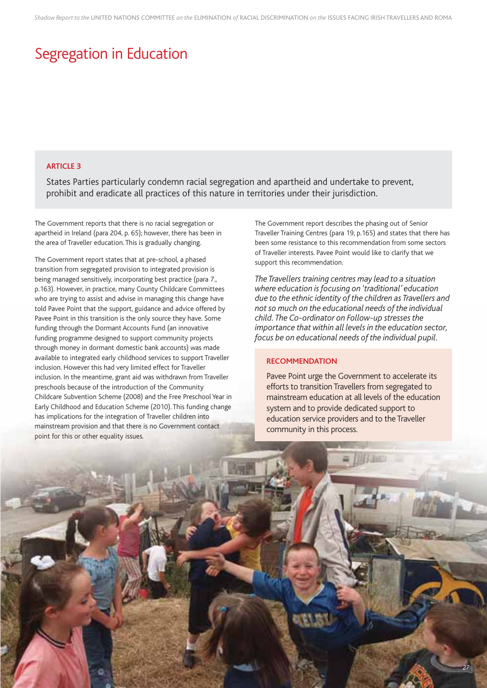# Segregation in Education

### **ARTICLE 3**

States Parties particularly condemn racial segregation and apartheid and undertake to prevent, prohibit and eradicate all practices of this nature in territories under their jurisdiction.

The Government reports that there is no racial segregation or apartheid in Ireland (para 204, p. 65); however, there has been in the area of Traveller education. This is gradually changing.

The Government report states that at pre-school, a phased transition from segregated provision to integrated provision is being managed sensitively, incorporating best practice (para 7., p.163). However, in practice, many County Childcare Committees who are trying to assist and advise in managing this change have told Pavee Point that the support, guidance and advice offered by Pavee Point in this transition is the only source they have. Some funding through the Dormant Accounts Fund (an innovative funding programme designed to support community projects through money in dormant domestic bank accounts) was made available to integrated early childhood services to support Traveller inclusion. However this had very limited effect for Traveller inclusion. In the meantime, grant aid was withdrawn from Traveller preschools because of the introduction of the Community Childcare Subvention Scheme (2008) and the Free Preschool Year in Early Childhood and Education Scheme (2010). This funding change has implications for the integration of Traveller children into mainstream provision and that there is no Government contact point for this or other equality issues.

The Government report describes the phasing out of Senior Traveller Training Centres (para 19, p.165) and states that there has been some resistance to this recommendation from some sectors of Traveller interests. Pavee Point would like to clarify that we support this recommendation.

*The Travellers training centres may lead to a situation where education is focusing on 'traditional' education due to the ethnic identity of the children as Travellers and not so much on the educational needs of the individual child. The Co-ordinator on Follow-up stresses the importance that within all levels in the education sector, focus be on educational needs of the individual pupil.*

### **RECOMMENDATION**

Pavee Point urge the Government to accelerate its efforts to transition Travellers from segregated to mainstream education at all levels of the education system and to provide dedicated support to education service providers and to the Traveller community in this process.

**Hillian** 

*27*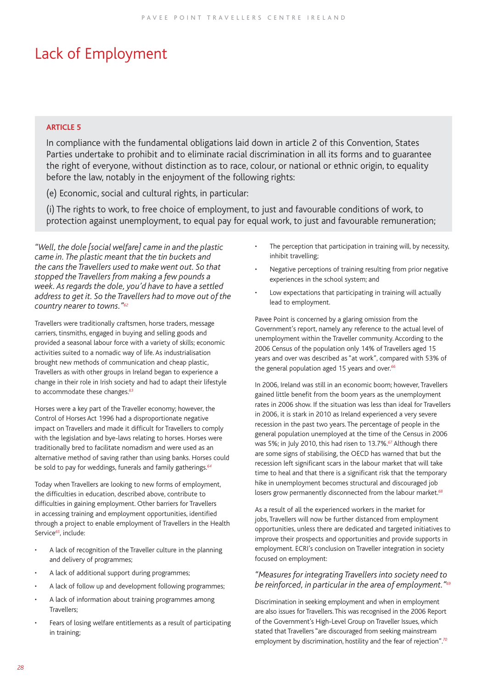# Lack of Employment

### **ARTICLE 5**

In compliance with the fundamental obligations laid down in article 2 of this Convention, States Parties undertake to prohibit and to eliminate racial discrimination in all its forms and to guarantee the right of everyone, without distinction as to race, colour, or national or ethnic origin, to equality before the law, notably in the enjoyment of the following rights:

(e) Economic, social and cultural rights, in particular:

(i) The rights to work, to free choice of employment, to just and favourable conditions of work, to protection against unemployment, to equal pay for equal work, to just and favourable remuneration;

*"Well, the dole [social welfare] came in and the plastic came in. The plastic meant that the tin buckets and the cans the Travellers used to make went out. So that stopped the Travellers from making a few pounds a week. As regards the dole, you'd have to have a settled address to get it. So the Travellers had to move out of the country nearer to towns."62*

Travellers were traditionally craftsmen, horse traders, message carriers, tinsmiths, engaged in buying and selling goods and provided a seasonal labour force with a variety of skills; economic activities suited to a nomadic way of life. As industrialisation brought new methods of communication and cheap plastic, Travellers as with other groups in Ireland began to experience a change in their role in Irish society and had to adapt their lifestyle to accommodate these changes.*<sup>63</sup>*

Horses were a key part of the Traveller economy; however, the Control of Horses Act 1996 had a disproportionate negative impact on Travellers and made it difficult for Travellers to comply with the legislation and bye-laws relating to horses. Horses were traditionally bred to facilitate nomadism and were used as an alternative method of saving rather than using banks. Horses could be sold to pay for weddings, funerals and family gatherings.*<sup>64</sup>*

Today when Travellers are looking to new forms of employment, the difficulties in education, described above, contribute to difficulties in gaining employment. Other barriers for Travellers in accessing training and employment opportunities, identified through a project to enable employment of Travellers in the Health Service*<sup>65</sup>*, include:

- A lack of recognition of the Traveller culture in the planning and delivery of programmes;
- A lack of additional support during programmes;
- A lack of follow up and development following programmes;
- A lack of information about training programmes among Travellers;
- Fears of losing welfare entitlements as a result of participating in training;
- The perception that participation in training will, by necessity, inhibit travelling;
- Negative perceptions of training resulting from prior negative experiences in the school system; and
- Low expectations that participating in training will actually lead to employment.

Pavee Point is concerned by a glaring omission from the Government's report, namely any reference to the actual level of unemployment within the Traveller community. According to the 2006 Census of the population only 14% of Travellers aged 15 years and over was described as "at work", compared with 53% of the general population aged 15 years and over.*<sup>66</sup>*

In 2006, Ireland was still in an economic boom; however, Travellers gained little benefit from the boom years as the unemployment rates in 2006 show. If the situation was less than ideal for Travellers in 2006, it is stark in 2010 as Ireland experienced a very severe recession in the past two years. The percentage of people in the general population unemployed at the time of the Census in 2006 was 5%; in July 2010, this had risen to 13.7%.*<sup>67</sup>* Although there are some signs of stabilising, the OECD has warned that but the recession left significant scars in the labour market that will take time to heal and that there is a significant risk that the temporary hike in unemployment becomes structural and discouraged job losers grow permanently disconnected from the labour market.*<sup>68</sup>*

As a result of all the experienced workers in the market for jobs, Travellers will now be further distanced from employment opportunities, unless there are dedicated and targeted initiatives to improve their prospects and opportunities and provide supports in employment. ECRI's conclusion on Traveller integration in society focused on employment:

### *"Measures for integrating Travellers into society need to be reinforced, in particular in the area of employment."69*

Discrimination in seeking employment and when in employment are also issues for Travellers. This was recognised in the 2006 Report of the Government's High-Level Group on Traveller Issues, which stated that Travellers "are discouraged from seeking mainstream employment by discrimination, hostility and the fear of rejection".*<sup>70</sup>*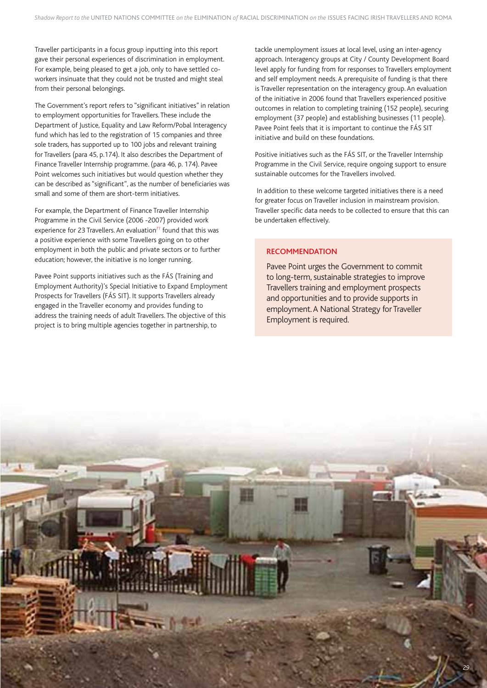Traveller participants in a focus group inputting into this report gave their personal experiences of discrimination in employment. For example, being pleased to get a job, only to have settled coworkers insinuate that they could not be trusted and might steal from their personal belongings.

The Government's report refers to "significant initiatives" in relation to employment opportunities for Travellers. These include the Department of Justice, Equality and Law Reform/Pobal Interagency fund which has led to the registration of 15 companies and three sole traders, has supported up to 100 jobs and relevant training for Travellers (para 45, p.174). It also describes the Department of Finance Traveller Internship programme. (para 46, p. 174). Pavee Point welcomes such initiatives but would question whether they can be described as "significant", as the number of beneficiaries was small and some of them are short-term initiatives.

For example, the Department of Finance Traveller Internship Programme in the Civil Service (2006 -2007) provided work experience for 23 Travellers. An evaluation*<sup>71</sup>* found that this was a positive experience with some Travellers going on to other employment in both the public and private sectors or to further education; however, the initiative is no longer running.

Pavee Point supports initiatives such as the FÁS (Training and Employment Authority)'s Special Initiative to Expand Employment Prospects for Travellers (FÁS SIT). It supports Travellers already engaged in the Traveller economy and provides funding to address the training needs of adult Travellers. The objective of this project is to bring multiple agencies together in partnership, to

tackle unemployment issues at local level, using an inter-agency approach. Interagency groups at City / County Development Board level apply for funding from for responses to Travellers employment and self employment needs. A prerequisite of funding is that there is Traveller representation on the interagency group. An evaluation of the initiative in 2006 found that Travellers experienced positive outcomes in relation to completing training (152 people), securing employment (37 people) and establishing businesses (11 people). Pavee Point feels that it is important to continue the FÁS SIT initiative and build on these foundations.

Positive initiatives such as the FÁS SIT, or the Traveller Internship Programme in the Civil Service, require ongoing support to ensure sustainable outcomes for the Travellers involved.

 In addition to these welcome targeted initiatives there is a need for greater focus on Traveller inclusion in mainstream provision. Traveller specific data needs to be collected to ensure that this can be undertaken effectively.

### **RECOMMENDATION**

Pavee Point urges the Government to commit to long-term, sustainable strategies to improve Travellers training and employment prospects and opportunities and to provide supports in employment. A National Strategy for Traveller Employment is required.

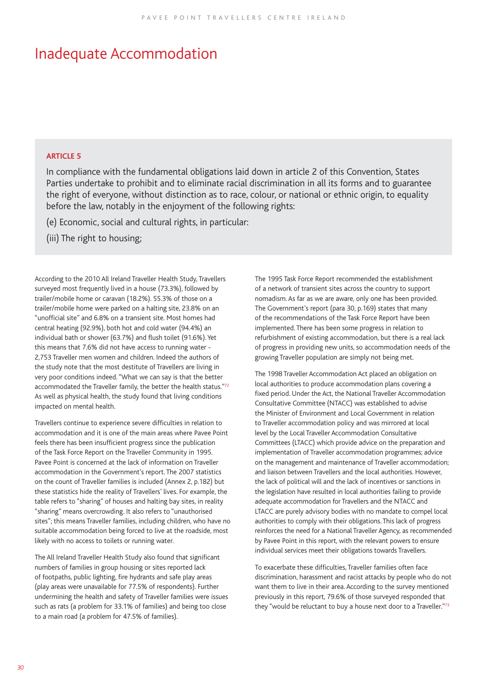### Inadequate Accommodation

### **ARTICLE 5**

In compliance with the fundamental obligations laid down in article 2 of this Convention, States Parties undertake to prohibit and to eliminate racial discrimination in all its forms and to guarantee the right of everyone, without distinction as to race, colour, or national or ethnic origin, to equality before the law, notably in the enjoyment of the following rights:

(e) Economic, social and cultural rights, in particular:

(iii) The right to housing;

According to the 2010 All Ireland Traveller Health Study, Travellers surveyed most frequently lived in a house (73.3%), followed by trailer/mobile home or caravan (18.2%). 55.3% of those on a trailer/mobile home were parked on a halting site, 23.8% on an "unofficial site" and 6.8% on a transient site. Most homes had central heating (92.9%), both hot and cold water (94.4%) an individual bath or shower (63.7%) and flush toilet (91.6%). Yet this means that 7.6% did not have access to running water - 2,753 Traveller men women and children. Indeed the authors of the study note that the most destitute of Travellers are living in very poor conditions indeed. "What we can say is that the better accommodated the Traveller family, the better the health status."*<sup>72</sup>* As well as physical health, the study found that living conditions impacted on mental health.

Travellers continue to experience severe difficulties in relation to accommodation and it is one of the main areas where Pavee Point feels there has been insufficient progress since the publication of the Task Force Report on the Traveller Community in 1995. Pavee Point is concerned at the lack of information on Traveller accommodation in the Government's report. The 2007 statistics on the count of Traveller families is included (Annex 2, p.182) but these statistics hide the reality of Travellers' lives. For example, the table refers to "sharing" of houses and halting bay sites, in reality "sharing" means overcrowding. It also refers to "unauthorised sites"; this means Traveller families, including children, who have no suitable accommodation being forced to live at the roadside, most likely with no access to toilets or running water.

The All Ireland Traveller Health Study also found that significant numbers of families in group housing or sites reported lack of footpaths, public lighting, fire hydrants and safe play areas (play areas were unavailable for 77.5% of respondents). Further undermining the health and safety of Traveller families were issues such as rats (a problem for 33.1% of families) and being too close to a main road (a problem for 47.5% of families).

The 1995 Task Force Report recommended the establishment of a network of transient sites across the country to support nomadism. As far as we are aware, only one has been provided. The Government's report (para 30, p.169) states that many of the recommendations of the Task Force Report have been implemented. There has been some progress in relation to refurbishment of existing accommodation, but there is a real lack of progress in providing new units, so accommodation needs of the growing Traveller population are simply not being met.

The 1998 Traveller Accommodation Act placed an obligation on local authorities to produce accommodation plans covering a fixed period. Under the Act, the National Traveller Accommodation Consultative Committee (NTACC) was established to advise the Minister of Environment and Local Government in relation to Traveller accommodation policy and was mirrored at local level by the Local Traveller Accommodation Consultative Committees (LTACC) which provide advice on the preparation and implementation of Traveller accommodation programmes; advice on the management and maintenance of Traveller accommodation; and liaison between Travellers and the local authorities. However, the lack of political will and the lack of incentives or sanctions in the legislation have resulted in local authorities failing to provide adequate accommodation for Travellers and the NTACC and LTACC are purely advisory bodies with no mandate to compel local authorities to comply with their obligations. This lack of progress reinforces the need for a National Traveller Agency, as recommended by Pavee Point in this report, with the relevant powers to ensure individual services meet their obligations towards Travellers.

To exacerbate these difficulties, Traveller families often face discrimination, harassment and racist attacks by people who do not want them to live in their area. According to the survey mentioned previously in this report, 79.6% of those surveyed responded that they "would be reluctant to buy a house next door to a Traveller."*<sup>73</sup>*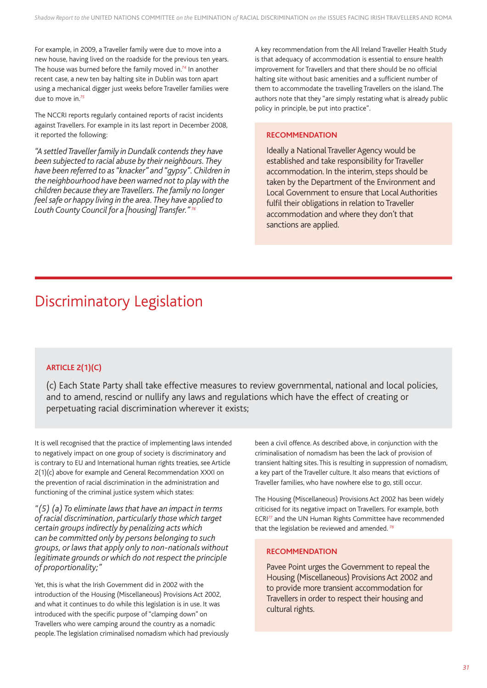For example, in 2009, a Traveller family were due to move into a new house, having lived on the roadside for the previous ten years. The house was burned before the family moved in.*<sup>74</sup>* In another recent case, a new ten bay halting site in Dublin was torn apart using a mechanical digger just weeks before Traveller families were due to move in.*<sup>75</sup>*

The NCCRI reports regularly contained reports of racist incidents against Travellers. For example in its last report in December 2008, it reported the following:

*"A settled Traveller family in Dundalk contends they have been subjected to racial abuse by their neighbours. They have been referred to as "knacker" and "gypsy". Children in the neighbourhood have been warned not to play with the children because they are Travellers. The family no longer feel safe or happy living in the area. They have applied to Louth County Council for a [housing] Transfer." 76*

A key recommendation from the All Ireland Traveller Health Study is that adequacy of accommodation is essential to ensure health improvement for Travellers and that there should be no official halting site without basic amenities and a sufficient number of them to accommodate the travelling Travellers on the island. The authors note that they "are simply restating what is already public policy in principle, be put into practice".

### **RECOMMENDATION**

Ideally a National Traveller Agency would be established and take responsibility for Traveller accommodation. In the interim, steps should be taken by the Department of the Environment and Local Government to ensure that Local Authorities fulfil their obligations in relation to Traveller accommodation and where they don't that sanctions are applied.

# Discriminatory Legislation

### **ARTICLE 2(1)(C)**

(c) Each State Party shall take effective measures to review governmental, national and local policies, and to amend, rescind or nullify any laws and regulations which have the effect of creating or perpetuating racial discrimination wherever it exists;

It is well recognised that the practice of implementing laws intended to negatively impact on one group of society is discriminatory and is contrary to EU and International human rights treaties, see Article 2(1)(c) above for example and General Recommendation XXXI on the prevention of racial discrimination in the administration and functioning of the criminal justice system which states:

*"(5) (a) To eliminate laws that have an impact in terms of racial discrimination, particularly those which target certain groups indirectly by penalizing acts which can be committed only by persons belonging to such groups, or laws that apply only to non-nationals without legitimate grounds or which do not respect the principle of proportionality;"*

Yet, this is what the Irish Government did in 2002 with the introduction of the Housing (Miscellaneous) Provisions Act 2002, and what it continues to do while this legislation is in use. It was introduced with the specific purpose of "clamping down" on Travellers who were camping around the country as a nomadic people. The legislation criminalised nomadism which had previously been a civil offence. As described above, in conjunction with the criminalisation of nomadism has been the lack of provision of transient halting sites. This is resulting in suppression of nomadism, a key part of the Traveller culture. It also means that evictions of Traveller families, who have nowhere else to go, still occur.

The Housing (Miscellaneous) Provisions Act 2002 has been widely criticised for its negative impact on Travellers. For example, both ECRI*<sup>77</sup>* and the UN Human Rights Committee have recommended that the legislation be reviewed and amended. *<sup>78</sup>*

### **RECOMMENDATION**

Pavee Point urges the Government to repeal the Housing (Miscellaneous) Provisions Act 2002 and to provide more transient accommodation for Travellers in order to respect their housing and cultural rights.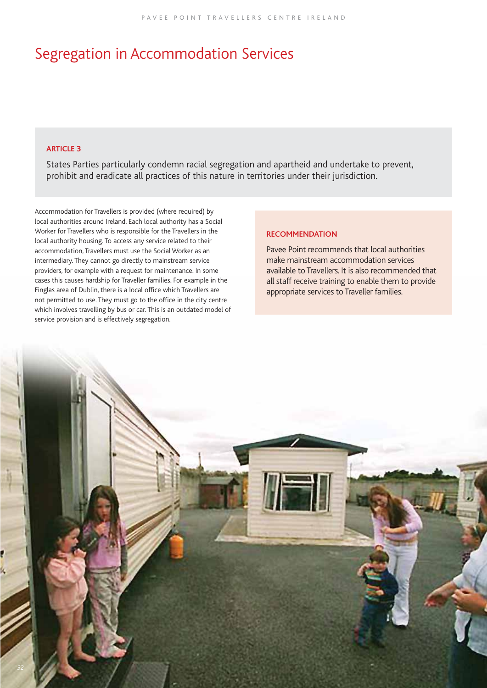# Segregation in Accommodation Services

### **ARTICLE 3**

States Parties particularly condemn racial segregation and apartheid and undertake to prevent, prohibit and eradicate all practices of this nature in territories under their jurisdiction.

Accommodation for Travellers is provided (where required) by local authorities around Ireland. Each local authority has a Social Worker for Travellers who is responsible for the Travellers in the local authority housing. To access any service related to their accommodation, Travellers must use the Social Worker as an intermediary. They cannot go directly to mainstream service providers, for example with a request for maintenance. In some cases this causes hardship for Traveller families. For example in the Finglas area of Dublin, there is a local office which Travellers are not permitted to use. They must go to the office in the city centre which involves travelling by bus or car. This is an outdated model of service provision and is effectively segregation.

### **RECOMMENDATION**

Pavee Point recommends that local authorities make mainstream accommodation services available to Travellers. It is also recommended that all staff receive training to enable them to provide appropriate services to Traveller families.

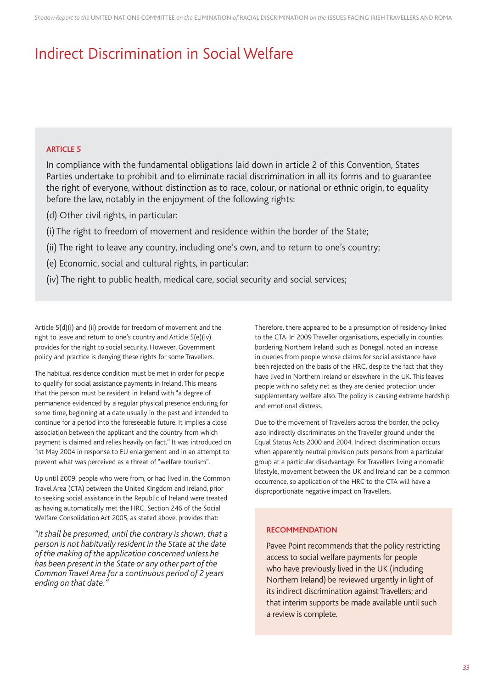# Indirect Discrimination in Social Welfare

### **ARTICLE 5**

In compliance with the fundamental obligations laid down in article 2 of this Convention, States Parties undertake to prohibit and to eliminate racial discrimination in all its forms and to guarantee the right of everyone, without distinction as to race, colour, or national or ethnic origin, to equality before the law, notably in the enjoyment of the following rights:

(d) Other civil rights, in particular:

- (i) The right to freedom of movement and residence within the border of the State;
- (ii) The right to leave any country, including one's own, and to return to one's country;
- (e) Economic, social and cultural rights, in particular:
- (iv) The right to public health, medical care, social security and social services;

Article 5(d)(i) and (ii) provide for freedom of movement and the right to leave and return to one's country and Article 5(e)(iv) provides for the right to social security. However, Government policy and practice is denying these rights for some Travellers.

The habitual residence condition must be met in order for people to qualify for social assistance payments in Ireland. This means that the person must be resident in Ireland with "a degree of permanence evidenced by a regular physical presence enduring for some time, beginning at a date usually in the past and intended to continue for a period into the foreseeable future. It implies a close association between the applicant and the country from which payment is claimed and relies heavily on fact." It was introduced on 1st May 2004 in response to EU enlargement and in an attempt to prevent what was perceived as a threat of "welfare tourism".

Up until 2009, people who were from, or had lived in, the Common Travel Area (CTA) between the United Kingdom and Ireland, prior to seeking social assistance in the Republic of Ireland were treated as having automatically met the HRC. Section 246 of the Social Welfare Consolidation Act 2005, as stated above, provides that:

*"it shall be presumed, until the contrary is shown, that a person is not habitually resident in the State at the date of the making of the application concerned unless he has been present in the State or any other part of the Common Travel Area for a continuous period of 2 years ending on that date."*

Therefore, there appeared to be a presumption of residency linked to the CTA. In 2009 Traveller organisations, especially in counties bordering Northern Ireland, such as Donegal, noted an increase in queries from people whose claims for social assistance have been rejected on the basis of the HRC, despite the fact that they have lived in Northern Ireland or elsewhere in the UK. This leaves people with no safety net as they are denied protection under supplementary welfare also. The policy is causing extreme hardship and emotional distress.

Due to the movement of Travellers across the border, the policy also indirectly discriminates on the Traveller ground under the Equal Status Acts 2000 and 2004. Indirect discrimination occurs when apparently neutral provision puts persons from a particular group at a particular disadvantage. For Travellers living a nomadic lifestyle, movement between the UK and Ireland can be a common occurrence, so application of the HRC to the CTA will have a disproportionate negative impact on Travellers.

### **RECOMMENDATION**

Pavee Point recommends that the policy restricting access to social welfare payments for people who have previously lived in the UK (including Northern Ireland) be reviewed urgently in light of its indirect discrimination against Travellers; and that interim supports be made available until such a review is complete.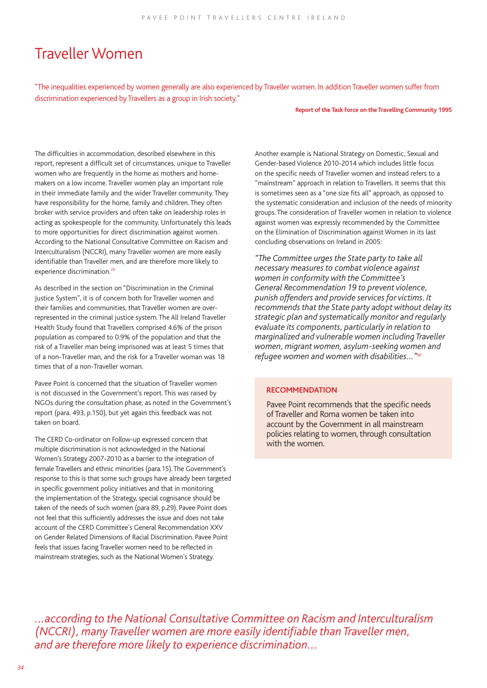# Traveller Women

"The inequalities experienced by women generally are also experienced by Traveller women. In addition Traveller women suffer from discrimination experienced by Travellers as a group in Irish society."

#### **Report of the Task Force on the Travelling Community 1995**

The difficulties in accommodation, described elsewhere in this report, represent a difficult set of circumstances, unique to Traveller women who are frequently in the home as mothers and homemakers on a low income. Traveller women play an important role in their immediate family and the wider Traveller community. They have responsibility for the home, family and children. They often broker with service providers and often take on leadership roles in acting as spokespeople for the community. Unfortunately this leads to more opportunities for direct discrimination against women. According to the National Consultative Committee on Racism and Interculturalism (NCCRI), many Traveller women are more easily identifiable than Traveller men, and are therefore more likely to experience discrimination.*<sup>79</sup>*

As described in the section on "Discrimination in the Criminal Justice System", it is of concern both for Traveller women and their families and communities, that Traveller women are overrepresented in the criminal justice system. The All Ireland Traveller Health Study found that Travellers comprised 4.6% of the prison population as compared to 0.9% of the population and that the risk of a Traveller man being imprisoned was at least 5 times that of a non-Traveller man, and the risk for a Traveller woman was 18 times that of a non-Traveller woman.

Pavee Point is concerned that the situation of Traveller women is not discussed in the Government's report. This was raised by NGOs during the consultation phase, as noted in the Government's report (para. 493, p.150), but yet again this feedback was not taken on board.

The CERD Co-ordinator on Follow-up expressed concern that multiple discrimination is not acknowledged in the National Women's Strategy 2007-2010 as a barrier to the integration of female Travellers and ethnic minorities (para.15). The Government's response to this is that some such groups have already been targeted in specific government policy initiatives and that in monitoring the implementation of the Strategy, special cognisance should be taken of the needs of such women (para 89, p.29). Pavee Point does not feel that this sufficiently addresses the issue and does not take account of the CERD Committee's General Recommendation XXV on Gender Related Dimensions of Racial Discrimination. Pavee Point feels that issues facing Traveller women need to be reflected in mainstream strategies, such as the National Women's Strategy.

Another example is National Strategy on Domestic, Sexual and Gender-based Violence 2010-2014 which includes little focus on the specific needs of Traveller women and instead refers to a "mainstream" approach in relation to Travellers. It seems that this is sometimes seen as a "one size fits all" approach, as opposed to the systematic consideration and inclusion of the needs of minority groups. The consideration of Traveller women in relation to violence against women was expressly recommended by the Committee on the Elimination of Discrimination against Women in its last concluding observations on Ireland in 2005:

*"The Committee urges the State party to take all necessary measures to combat violence against women in conformity with the Committee's General Recommendation 19 to prevent violence, punish offenders and provide services for victims. It recommends that the State party adopt without delay its strategic plan and systematically monitor and regularly evaluate its components, particularly in relation to marginalized and vulnerable women including Traveller women, migrant women, asylum-seeking women and refugee women and women with disabilities…"80*

### **RECOMMENDATION**

**Pavee Point recommends that the specific needs** of Traveller and Roma women be taken into *account by the Government in all mainstream* policies relating to women, through consultation with the women.

*...according to the National Consultative Committee on Racism and Interculturalism (NCCRI), many Traveller women are more easily identifi able than Traveller men, and are therefore more likely to experience discrimination...*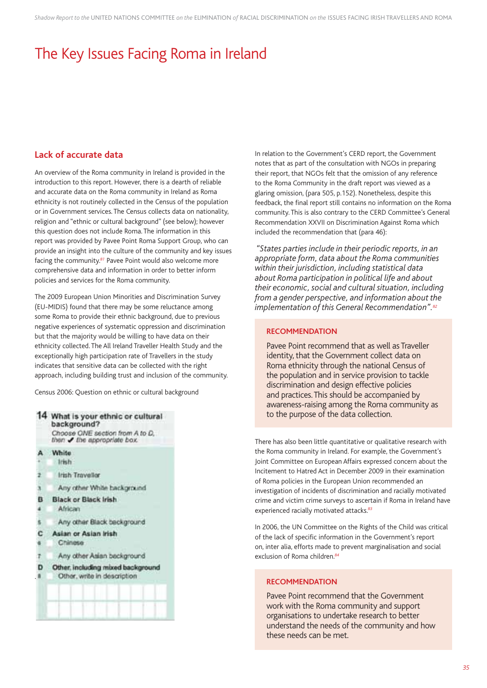# The Key Issues Facing Roma in Ireland

### **Lack of accurate data**

An overview of the Roma community in Ireland is provided in the introduction to this report. However, there is a dearth of reliable and accurate data on the Roma community in Ireland as Roma ethnicity is not routinely collected in the Census of the population or in Government services. The Census collects data on nationality, religion and "ethnic or cultural background" (see below); however this question does not include Roma. The information in this report was provided by Pavee Point Roma Support Group, who can provide an insight into the culture of the community and key issues facing the community.*<sup>81</sup>* Pavee Point would also welcome more comprehensive data and information in order to better inform policies and services for the Roma community.

The 2009 European Union Minorities and Discrimination Survey (EU-MIDIS) found that there may be some reluctance among some Roma to provide their ethnic background, due to previous negative experiences of systematic oppression and discrimination but that the majority would be willing to have data on their ethnicity collected. The All Ireland Traveller Health Study and the exceptionally high participation rate of Travellers in the study indicates that sensitive data can be collected with the right approach, including building trust and inclusion of the community.

Census 2006: Question on ethnic or cultural background



In relation to the Government's CERD report, the Government notes that as part of the consultation with NGOs in preparing their report, that NGOs felt that the omission of any reference to the Roma Community in the draft report was viewed as a glaring omission, (para 505, p.152). Nonetheless, despite this feedback, the final report still contains no information on the Roma community. This is also contrary to the CERD Committee's General Recommendation XXVII on Discrimination Against Roma which included the recommendation that (para 46):

 *"States parties include in their periodic reports, in an appropriate form, data about the Roma communities within their jurisdiction, including statistical data about Roma participation in political life and about their economic, social and cultural situation, including from a gender perspective, and information about the implementation of this General Recommendation".82*

### **RECOMMENDATION**

Pavee Point recommend that as well as Traveller identity, that the Government collect data on Roma ethnicity through the national Census of the population and in service provision to tackle discrimination and design effective policies and practices. This should be accompanied by awareness-raising among the Roma community as to the purpose of the data collection.

There has also been little quantitative or qualitative research with the Roma community in Ireland. For example, the Government's Joint Committee on European Affairs expressed concern about the Incitement to Hatred Act in December 2009 in their examination of Roma policies in the European Union recommended an investigation of incidents of discrimination and racially motivated crime and victim crime surveys to ascertain if Roma in Ireland have experienced racially motivated attacks.*<sup>83</sup>*

In 2006, the UN Committee on the Rights of the Child was critical of the lack of specific information in the Government's report on, inter alia, efforts made to prevent marginalisation and social exclusion of Roma children.*<sup>84</sup>*

### **RECOMMENDATION**

Pavee Point recommend that the Government work with the Roma community and support organisations to undertake research to better understand the needs of the community and how these needs can be met.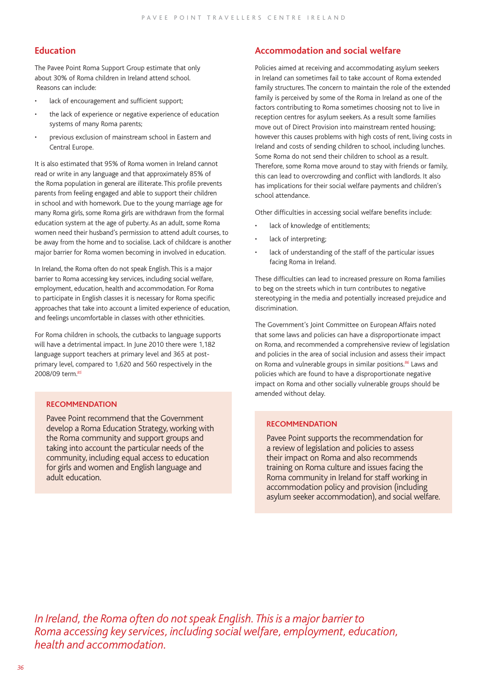### **Education**

The Pavee Point Roma Support Group estimate that only about 30% of Roma children in Ireland attend school. Reasons can include:

- lack of encouragement and sufficient support;
- the lack of experience or negative experience of education systems of many Roma parents;
- previous exclusion of mainstream school in Eastern and Central Europe.

It is also estimated that 95% of Roma women in Ireland cannot read or write in any language and that approximately 85% of the Roma population in general are illiterate. This profile prevents parents from feeling engaged and able to support their children in school and with homework. Due to the young marriage age for many Roma girls, some Roma girls are withdrawn from the formal education system at the age of puberty. As an adult, some Roma women need their husband's permission to attend adult courses, to be away from the home and to socialise. Lack of childcare is another major barrier for Roma women becoming in involved in education.

In Ireland, the Roma often do not speak English. This is a major barrier to Roma accessing key services, including social welfare, employment, education, health and accommodation. For Roma to participate in English classes it is necessary for Roma specific approaches that take into account a limited experience of education, and feelings uncomfortable in classes with other ethnicities.

For Roma children in schools, the cutbacks to language supports will have a detrimental impact. In June 2010 there were 1,182 language support teachers at primary level and 365 at postprimary level, compared to 1,620 and 560 respectively in the 2008/09 term.*<sup>85</sup>*

### **RECOMMENDATION**

Pavee Point recommend that the Government develop a Roma Education Strategy, working with the Roma community and support groups and taking into account the particular needs of the community, including equal access to education for girls and women and English language and adult education.

### **Accommodation and social welfare**

Policies aimed at receiving and accommodating asylum seekers in Ireland can sometimes fail to take account of Roma extended family structures. The concern to maintain the role of the extended family is perceived by some of the Roma in Ireland as one of the factors contributing to Roma sometimes choosing not to live in reception centres for asylum seekers. As a result some families move out of Direct Provision into mainstream rented housing; however this causes problems with high costs of rent, living costs in Ireland and costs of sending children to school, including lunches. Some Roma do not send their children to school as a result. Therefore, some Roma move around to stay with friends or family, this can lead to overcrowding and conflict with landlords. It also has implications for their social welfare payments and children's school attendance.

Other difficulties in accessing social welfare benefits include:

- lack of knowledge of entitlements;
- lack of interpreting;
- lack of understanding of the staff of the particular issues facing Roma in Ireland.

These difficulties can lead to increased pressure on Roma families to beg on the streets which in turn contributes to negative stereotyping in the media and potentially increased prejudice and discrimination.

The Government's Joint Committee on European Affairs noted that some laws and policies can have a disproportionate impact on Roma, and recommended a comprehensive review of legislation and policies in the area of social inclusion and assess their impact on Roma and vulnerable groups in similar positions.*<sup>86</sup>* Laws and policies which are found to have a disproportionate negative impact on Roma and other socially vulnerable groups should be amended without delay.

### **RECOMMENDATION**

Pavee Point supports the recommendation for a review of legislation and policies to assess their impact on Roma and also recommends training on Roma culture and issues facing the Roma community in Ireland for staff working in accommodation policy and provision (including asylum seeker accommodation), and social welfare.

*In Ireland, the Roma often do not speak English. This is a major barrier to Roma accessing key services, including social welfare, employment, education, health and accommodation.*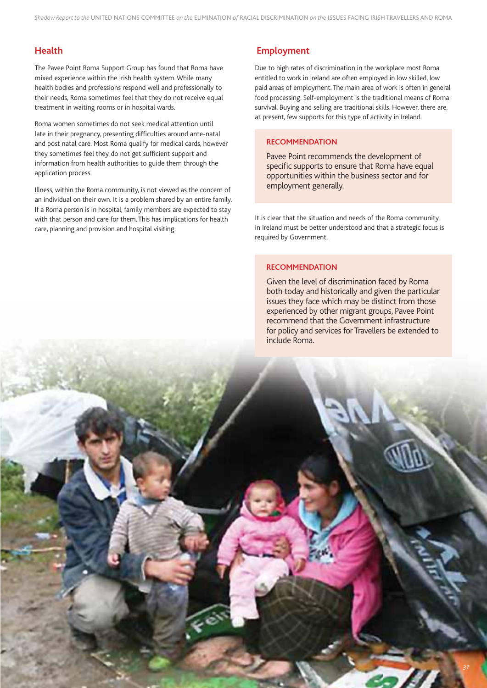### **Health**

The Pavee Point Roma Support Group has found that Roma have mixed experience within the Irish health system. While many health bodies and professions respond well and professionally to their needs, Roma sometimes feel that they do not receive equal treatment in waiting rooms or in hospital wards.

Roma women sometimes do not seek medical attention until late in their pregnancy, presenting difficulties around ante-natal and post natal care. Most Roma qualify for medical cards, however they sometimes feel they do not get sufficient support and information from health authorities to guide them through the application process.

Illness, within the Roma community, is not viewed as the concern of an individual on their own. It is a problem shared by an entire family. If a Roma person is in hospital, family members are expected to stay with that person and care for them. This has implications for health care, planning and provision and hospital visiting.

### **Employment**

Due to high rates of discrimination in the workplace most Roma entitled to work in Ireland are often employed in low skilled, low paid areas of employment. The main area of work is often in general food processing. Self-employment is the traditional means of Roma survival. Buying and selling are traditional skills. However, there are, at present, few supports for this type of activity in Ireland.

### **RECOMMENDATION**

Pavee Point recommends the development of specific supports to ensure that Roma have equal opportunities within the business sector and for employment generally.

It is clear that the situation and needs of the Roma community in Ireland must be better understood and that a strategic focus is required by Government.

### **RECOMMENDATION**

Given the level of discrimination faced by Roma both today and historically and given the particular issues they face which may be distinct from those experienced by other migrant groups, Pavee Point recommend that the Government infrastructure for policy and services for Travellers be extended to include Roma.

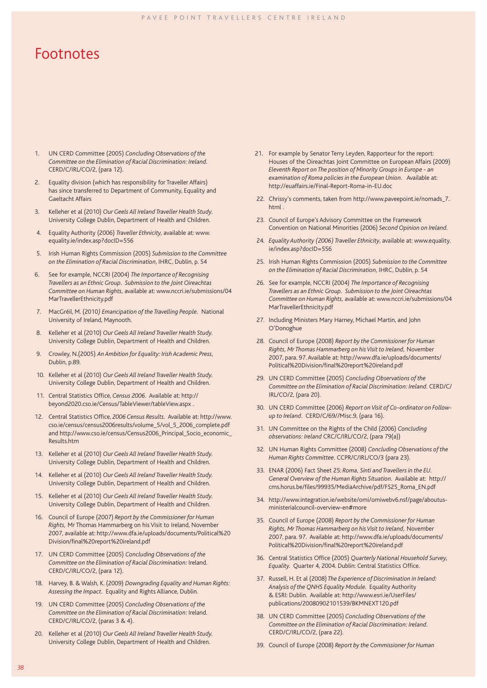### Footnotes

- 1. UN CERD Committee (2005) *Concluding Observations of the Committee on the Elimination of Racial Discrimination: Ireland.*  CERD/C/IRL/CO/2, (para 12).
- 2. Equality division (which has responsibility for Traveller Affairs) has since transferred to Department of Community, Equality and Gaeltacht Affairs
- 3. Kelleher et al (2010) *Our Geels All Ireland Traveller Health Study.*  University College Dublin, Department of Health and Children.
- 4. Equality Authority (2006) *Traveller Ethnicity,* available at: www. equality.ie/index.asp?docID=556
- 5. Irish Human Rights Commission (2005) *Submission to the Committee on the Elimination of Racial Discrimination*, IHRC, Dublin, p. 54
- 6. See for example, NCCRI (2004) *The Importance of Recognising Travellers as an Ethnic Group. Submission to the Joint Oireachtas Committee on Human Rights,* available at: www.nccri.ie/submissions/04 MarTravellerEthnicity.pdf
- 7. MacGréil, M. (2010*) Emancipation of the Travelling People.* National University of Ireland, Maynooth.
- 8. Kelleher et al (2010) *Our Geels All Ireland Traveller Health Study.*  University College Dublin, Department of Health and Children.
- 9. Crowley, N.(2005) *An Ambition for Equality: Irish Academic Press,*  Dublin, p.89.
- 10. Kelleher et al (2010) *Our Geels All Ireland Traveller Health Study.*  University College Dublin, Department of Health and Children.
- 11. Central Statistics Office, Census 2006. Available at: http:// beyond2020.cso.ie/Census/TableViewer/tableView.aspx .
- 12. Central Statistics Office, 2006 Census Results. Available at: http://www. cso.ie/census/census2006results/volume\_5/vol\_5\_2006\_complete.pdf and http://www.cso.ie/census/Census2006\_Principal\_Socio\_economic\_ Results.htm
- 13. Kelleher et al (2010) *Our Geels All Ireland Traveller Health Study.* University College Dublin, Department of Health and Children.
- 14. Kelleher et al (2010) *Our Geels All Ireland Traveller Health Study.* University College Dublin, Department of Health and Children.
- 15. Kelleher et al (2010) *Our Geels All Ireland Traveller Health Study.* University College Dublin, Department of Health and Children.
- 16. Council of Europe (2007) *Report by the Commissioner for Human Rights,* Mr Thomas Hammarberg on his Visit to Ireland, November 2007, available at: http://www.dfa.ie/uploads/documents/Political%20 Division/final%20report%20ireland.pdf
- 17. UN CERD Committee (2005) *Concluding Observations of the Committee on the Elimination of Racial Discrimination:* Ireland. CERD/C/IRL/CO/2, (para 12).
- 18. Harvey, B. & Walsh, K. (2009) *Downgrading Equality and Human Rights: Assessing the Impact.* Equality and Rights Alliance, Dublin.
- 19. UN CERD Committee (2005) *Concluding Observations of the Committee on the Elimination of Racial Discrimination:* Ireland. CERD/C/IRL/CO/2, (paras 3 & 4).
- 20. Kelleher et al (2010) *Our Geels All Ireland Traveller Health Study.* University College Dublin, Department of Health and Children.
- 21. For example by Senator Terry Leyden, Rapporteur for the report: Houses of the Oireachtas Joint Committee on European Affairs (2009) *Eleventh Report on The position of Minority Groups in Europe - an examination of Roma policies in the European Union.* Available at: http://euaffairs.ie/Final-Report-Roma-in-EU.doc
- 22. Chrissy's comments, taken from http://www.paveepoint.ie/nomads\_7. html .
- 23. Council of Europe's Advisory Committee on the Framework Convention on National Minorities (2006) *Second Opinion on Ireland.*
- 24. *Equality Authority (2006) Traveller Ethnicity*, available at: www.equality. ie/index.asp?docID=556
- 25. Irish Human Rights Commission (2005) *Submission to the Committee on the Elimination of Racial Discrimination,* IHRC, Dublin, p. 54
- 26. See for example, NCCRI (2004) *The Importance of Recognising Travellers as an Ethnic Group. Submission to the Joint Oireachtas Committee on Human Rights,* available at: www.nccri.ie/submissions/04 MarTravellerEthnicity.pdf
- 27. Including Ministers Mary Harney, Michael Martin, and John O'Donoghue
- 28. Council of Europe (2008) *Report by the Commissioner for Human Rights, Mr Thomas Hammarberg on his Visit to Ireland,* November 2007, para. 97. Available at: http://www.dfa.ie/uploads/documents/ Political%20Division/final%20report%20ireland.pdf
- 29. UN CERD Committee (2005) *Concluding Observations of the Committee on the Elimination of Racial Discrimination: Ireland.* CERD/C/ IRL/CO/2, (para 20).
- 30. UN CERD Committee (2006) *Report on Visit of Co-ordinator on Followup to Ireland.* CERD/C/69//Misc.9, (para 16).
- 31. UN Committee on the Rights of the Child (2006) *Concluding observations: Ireland* CRC/C/IRL/CO/2, (para 79(a))
- 32. UN Human Rights Committee (2008) *Concluding Observations of the Human Rights Committee.* CCPR/C/IRL/CO/3 (para 23).
- 33. ENAR (2006) Fact Sheet 25: *Roma, Sinti and Travellers in the EU. General Overview of the Human Rights Situation.* Available at: http:// cms.horus.be/fi les/99935/MediaArchive/pdf/FS25\_Roma\_EN.pdf
- 34. http://www.integration.ie/website/omi/omiwebv6.nsf/page/aboutusministerialcouncil-overview-en#more
- 35. Council of Europe (2008) *Report by the Commissioner for Human Rights, Mr Thomas Hammarberg on his Visit to Ireland,* November 2007, para. 97. Available at: http://www.dfa.ie/uploads/documents/ Political%20Division/final%20report%20ireland.pdf
- 36. Central Statistics Office (2005) *Quarterly National Household Survey*, *Equality.* Quarter 4, 2004. Dublin: Central Statistics Office.
- 37. Russell, H. Et al (2008) *The Experience of Discrimination in Ireland: Analysis of the QNHS Equality Module.* Equality Authority & ESRI: Dublin. Available at: http://www.esri.ie/UserFiles/ publications/20080902101539/BKMNEXT120.pdf
- 38. UN CERD Committee (2005) *Concluding Observations of the Committee on the Elimination of Racial Discrimination: Ireland.* CERD/C/IRL/CO/2, (para 22).
- 39. Council of Europe (2008) *Report by the Commissioner for Human*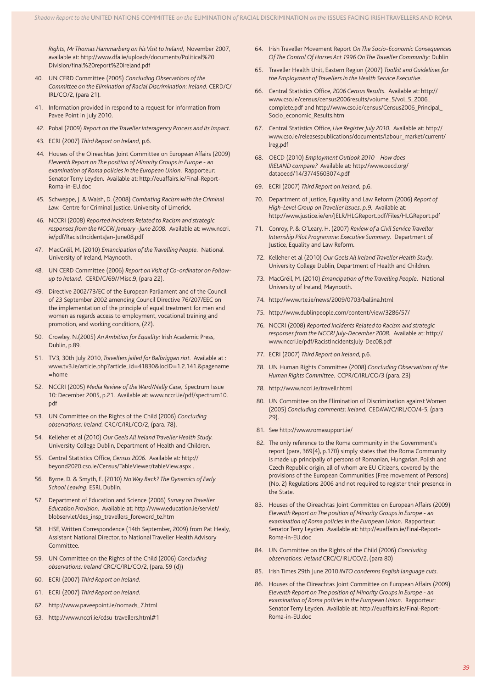*Rights, Mr Thomas Hammarberg on his Visit to Ireland,* November 2007, available at: http://www.dfa.ie/uploads/documents/Political%20 Division/final%20report%20ireland.pdf

- 40. UN CERD Committee (2005) *Concluding Observations of the Committee on the Elimination of Racial Discrimination: Ireland.* CERD/C/ IRL/CO/2, (para 21).
- 41. Information provided in respond to a request for information from Pavee Point in July 2010.
- 42. Pobal (2009) *Report on the Traveller Interagency Process and its Impact.*
- 43. ECRI (2007) *Third Report on Ireland,* p.6.
- 44. Houses of the Oireachtas Joint Committee on European Affairs (2009) *Eleventh Report on The position of Minority Groups in Europe - an examination of Roma policies in the European Union.* Rapporteur: Senator Terry Leyden. Available at: http://euaffairs.ie/Final-Report-Roma-in-EU.doc
- 45. Schweppe, J. & Walsh, D. (2008) *Combating Racism with the Criminal Law.* Centre for Criminal Justice, University of Limerick.
- 46. NCCRI (2008) *Reported Incidents Related to Racism and strategic responses from the NCCRI January -June 2008.* Available at: www.nccri. ie/pdf/RacistIncidentsJan-June08.pdf
- 47. MacGréil, M. (2010) *Emancipation of the Travelling People.* National University of Ireland, Maynooth.
- 48. UN CERD Committee (2006) *Report on Visit of Co-ordinator on Followup to Ireland.* CERD/C/69//Misc.9, (para 22).
- 49. Directive 2002/73/EC of the European Parliament and of the Council of 23 September 2002 amending Council Directive 76/207/EEC on the implementation of the principle of equal treatment for men and women as regards access to employment, vocational training and promotion, and working conditions, (22).
- 50. Crowley, N.(2005) *An Ambition for Equality:* Irish Academic Press, Dublin, p.89.
- 51. TV3, 30th July 2010, *Travellers jailed for Balbriggan riot.* Available at : www.tv3.ie/article.php?article\_id=41830&locID=1.2.141.&pagename  $=$ home
- 52. NCCRI (2005) *Media Review of the Ward/Nally Case,* Spectrum Issue 10: December 2005, p.21. Available at: www.nccri.ie/pdf/spectrum10. pdf
- 53. UN Committee on the Rights of the Child (2006) *Concluding observations: Ireland.* CRC/C/IRL/CO/2, (para. 78).
- 54. Kelleher et al (2010) *Our Geels All Ireland Traveller Health Study.*  University College Dublin, Department of Health and Children.
- 55. Central Statistics Office, *Census 2006*. Available at: http:// beyond2020.cso.ie/Census/TableViewer/tableView.aspx .
- 56. Byrne, D. & Smyth, E. (2010) *No Way Back? The Dynamics of Early School Leaving.* ESRI, Dublin.
- 57. Department of Education and Science (2006) S*urvey on Traveller Education Provision.* Available at: http://www.education.ie/servlet/ blobservlet/des\_insp\_travellers\_foreword\_te.htm
- HSE, Written Correspondence (14th September, 2009) from Pat Healy, Assistant National Director, to National Traveller Health Advisory Committee.
- 59. UN Committee on the Rights of the Child (2006) *Concluding observations: Ireland* CRC/C/IRL/CO/2, (para. 59 (d))
- 60. ECRI (2007) *Third Report on Ireland.*
- 61. ECRI (2007) *Third Report on Ireland.*
- 62. http://www.paveepoint.ie/nomads\_7.html
- 63. http://www.nccri.ie/cdsu-travellers.html#1
- 64. Irish Traveller Movement Report *On The Socio-Economic Consequences Of The Control Of Horses Act 1996 On The Traveller Community:* Dublin
- 65. Traveller Health Unit, Eastern Region (2007) *Toolkit and Guidelines for the Employment of Travellers in the Health Service Executive.*
- 66. Central Statistics Office, *2006 Census Results*. Available at: http:// www.cso.ie/census/census2006results/volume\_5/vol\_5\_2006\_ complete.pdf and http://www.cso.ie/census/Census2006\_Principal\_ Socio\_economic\_Results.htm
- 67. Central Statistics Office, Live Register July 2010. Available at: http:// www.cso.ie/releasespublications/documents/labour\_market/current/ lreg.pdf
- 68. OECD (2010) *Employment Outlook 2010 How does IRELAND compare?* Available at: http://www.oecd.org/ dataoecd/14/37/45603074.pdf
- 69. ECRI (2007) *Third Report on Ireland,* p.6.
- 70. Department of Justice, Equality and Law Reform (2006) *Report of High-Level Group on Traveller Issues, p.9.* Available at: http://www.justice.ie/en/JELR/HLGReport.pdf/Files/HLGReport.pdf
- 71. Conroy, P. & O'Leary, H. (2007) *Review of a Civil Service Traveller Internship Pilot Programme: Executive Summary.* Department of Justice, Equality and Law Reform.
- 72. Kelleher et al (2010) *Our Geels All Ireland Traveller Health Study.*  University College Dublin, Department of Health and Children.
- 73. MacGréil, M. (2010) *Emancipation of the Travelling People.* National University of Ireland, Maynooth.
- 74. http://www.rte.ie/news/2009/0703/ballina.html
- 75. http://www.dublinpeople.com/content/view/3286/57/
- 76. NCCRI (2008) *Reported Incidents Related to Racism and strategic responses from the NCCRI July-December 2008.* Available at: http:// www.nccri.ie/pdf/RacistIncidentsJuly-Dec08.pdf
- 77. ECRI (2007) *Third Report on Ireland*, p.6.
- 78. UN Human Rights Committee (2008) *Concluding Observations of the Human Rights Committee.* CCPR/C/IRL/CO/3 (para. 23)
- 78. http://www.nccri.ie/travellr.html
- 80. UN Committee on the Elimination of Discrimination against Women (2005) *Concluding comments: Ireland.* CEDAW/C/IRL/CO/4-5, (para 29).
- 81. See http://www.romasupport.ie/
- 82. The only reference to the Roma community in the Government's report (para, 369(4), p.170) simply states that the Roma Community is made up principally of persons of Romanian, Hungarian, Polish and Czech Republic origin, all of whom are EU Citizens, covered by the provisions of the European Communities (Free movement of Persons) (No. 2) Regulations 2006 and not required to register their presence in the State.
- 83. Houses of the Oireachtas Joint Committee on European Affairs (2009) *Eleventh Report on The position of Minority Groups in Europe - an examination of Roma policies in the European Union.* Rapporteur: Senator Terry Leyden. Available at: http://euaffairs.ie/Final-Report-Roma-in-EU.doc
- 84. UN Committee on the Rights of the Child (2006) *Concluding observations: Ireland* CRC/C/IRL/CO/2, (para 80)
- 85. Irish Times 29th June 2010 *INTO condemns English language cuts.*
- 86. Houses of the Oireachtas Joint Committee on European Affairs (2009) *Eleventh Report on The position of Minority Groups in Europe - an examination of Roma policies in the European Union.* Rapporteur: Senator Terry Leyden. Available at: http://euaffairs.ie/Final-Report-Roma-in-EU.doc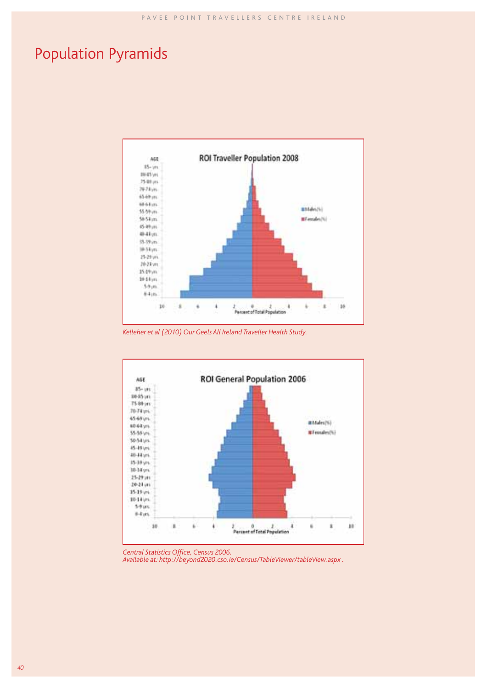# Population Pyramids



*Kelleher et al (2010) Our Geels All Ireland Traveller Health Study.*



**Central Statistics Office, Census 2006.**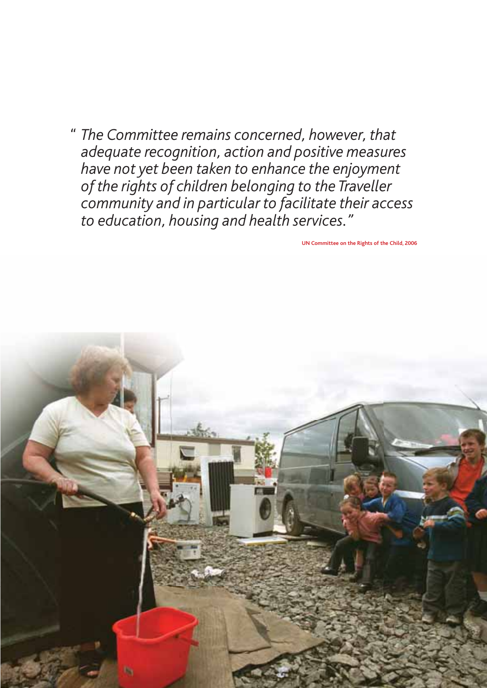*" The Committee remains concerned, however, that adequate recognition, action and positive measures have not yet been taken to enhance the enjoyment of the rights of children belonging to the Traveller community and in particular to facilitate their access to education, housing and health services."*

**UN Committee on the Rights of the Child, 2006**